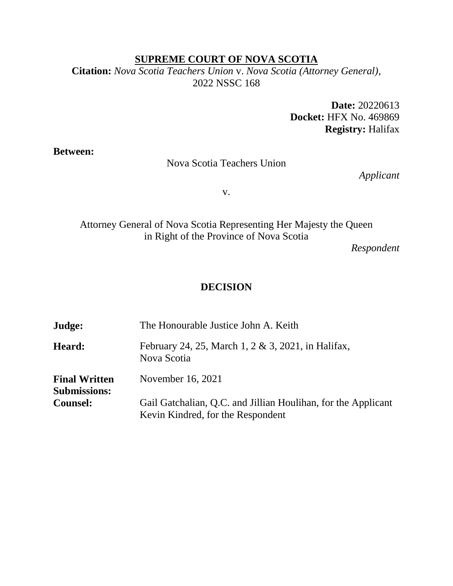### **SUPREME COURT OF NOVA SCOTIA**

**Citation:** *Nova Scotia Teachers Union* v. *Nova Scotia (Attorney General)*, 2022 NSSC 168

> **Date:** 20220613 **Docket:** HFX No. 469869 **Registry:** Halifax

**Between:**

#### Nova Scotia Teachers Union

*Applicant*

v.

Attorney General of Nova Scotia Representing Her Majesty the Queen in Right of the Province of Nova Scotia

*Respondent*

### **DECISION**

| Judge:                                      | The Honourable Justice John A. Keith                                                               |
|---------------------------------------------|----------------------------------------------------------------------------------------------------|
| Heard:                                      | February 24, 25, March 1, 2 & 3, 2021, in Halifax,<br>Nova Scotia                                  |
| <b>Final Written</b><br><b>Submissions:</b> | November 16, 2021                                                                                  |
| <b>Counsel:</b>                             | Gail Gatchalian, Q.C. and Jillian Houlihan, for the Applicant<br>Kevin Kindred, for the Respondent |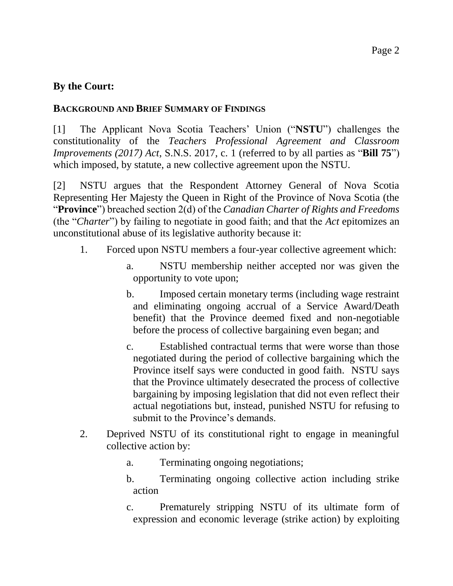### **By the Court:**

#### **BACKGROUND AND BRIEF SUMMARY OF FINDINGS**

[1] The Applicant Nova Scotia Teachers' Union ("**NSTU**") challenges the constitutionality of the *Teachers Professional Agreement and Classroom Improvements (2017) Act*, S.N.S. 2017, c. 1 (referred to by all parties as "**Bill 75**") which imposed, by statute, a new collective agreement upon the NSTU.

[2] NSTU argues that the Respondent Attorney General of Nova Scotia Representing Her Majesty the Queen in Right of the Province of Nova Scotia (the "**Province**") breached section 2(d) of the *Canadian Charter of Rights and Freedoms* (the "*Charter*") by failing to negotiate in good faith; and that the *Act* epitomizes an unconstitutional abuse of its legislative authority because it:

- 1. Forced upon NSTU members a four-year collective agreement which:
	- a. NSTU membership neither accepted nor was given the opportunity to vote upon;
	- b. Imposed certain monetary terms (including wage restraint and eliminating ongoing accrual of a Service Award/Death benefit) that the Province deemed fixed and non-negotiable before the process of collective bargaining even began; and
	- c. Established contractual terms that were worse than those negotiated during the period of collective bargaining which the Province itself says were conducted in good faith. NSTU says that the Province ultimately desecrated the process of collective bargaining by imposing legislation that did not even reflect their actual negotiations but, instead, punished NSTU for refusing to submit to the Province's demands.
- 2. Deprived NSTU of its constitutional right to engage in meaningful collective action by:
	- a. Terminating ongoing negotiations;
	- b. Terminating ongoing collective action including strike action
	- c. Prematurely stripping NSTU of its ultimate form of expression and economic leverage (strike action) by exploiting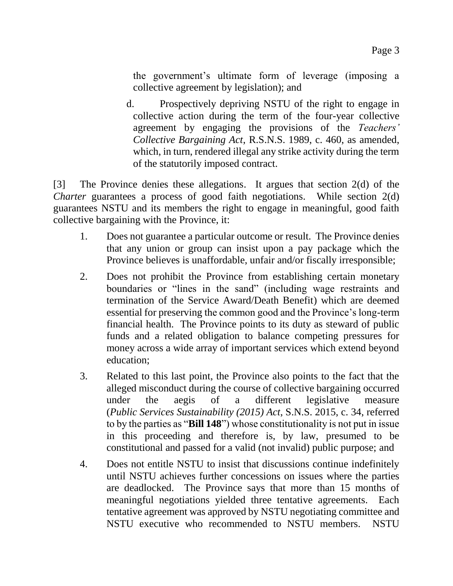the government's ultimate form of leverage (imposing a collective agreement by legislation); and

d. Prospectively depriving NSTU of the right to engage in collective action during the term of the four-year collective agreement by engaging the provisions of the *Teachers' Collective Bargaining Act*, R.S.N.S. 1989, c. 460, as amended, which, in turn, rendered illegal any strike activity during the term of the statutorily imposed contract.

[3] The Province denies these allegations. It argues that section 2(d) of the *Charter* guarantees a process of good faith negotiations. While section 2(d) guarantees NSTU and its members the right to engage in meaningful, good faith collective bargaining with the Province, it:

- 1. Does not guarantee a particular outcome or result. The Province denies that any union or group can insist upon a pay package which the Province believes is unaffordable, unfair and/or fiscally irresponsible;
- 2. Does not prohibit the Province from establishing certain monetary boundaries or "lines in the sand" (including wage restraints and termination of the Service Award/Death Benefit) which are deemed essential for preserving the common good and the Province's long-term financial health. The Province points to its duty as steward of public funds and a related obligation to balance competing pressures for money across a wide array of important services which extend beyond education;
- 3. Related to this last point, the Province also points to the fact that the alleged misconduct during the course of collective bargaining occurred under the aegis of a different legislative measure (*Public Services Sustainability (2015) Act*, S.N.S. 2015, c. 34, referred to by the parties as "**Bill 148**") whose constitutionality is not put in issue in this proceeding and therefore is, by law, presumed to be constitutional and passed for a valid (not invalid) public purpose; and
- 4. Does not entitle NSTU to insist that discussions continue indefinitely until NSTU achieves further concessions on issues where the parties are deadlocked. The Province says that more than 15 months of meaningful negotiations yielded three tentative agreements. Each tentative agreement was approved by NSTU negotiating committee and NSTU executive who recommended to NSTU members. NSTU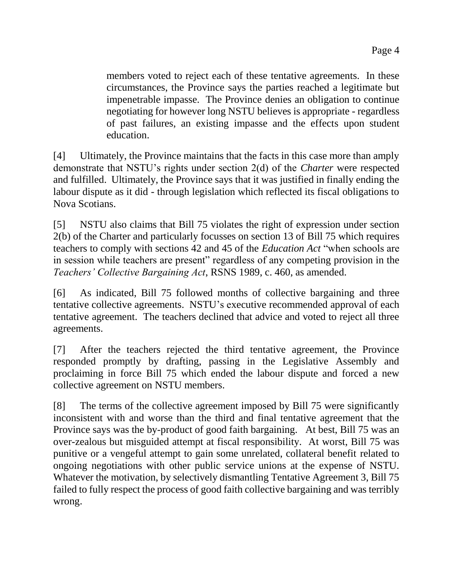members voted to reject each of these tentative agreements. In these circumstances, the Province says the parties reached a legitimate but impenetrable impasse. The Province denies an obligation to continue negotiating for however long NSTU believes is appropriate - regardless of past failures, an existing impasse and the effects upon student education.

[4] Ultimately, the Province maintains that the facts in this case more than amply demonstrate that NSTU's rights under section 2(d) of the *Charter* were respected and fulfilled. Ultimately, the Province says that it was justified in finally ending the labour dispute as it did - through legislation which reflected its fiscal obligations to Nova Scotians.

[5] NSTU also claims that Bill 75 violates the right of expression under section 2(b) of the Charter and particularly focusses on section 13 of Bill 75 which requires teachers to comply with sections 42 and 45 of the *Education Act* "when schools are in session while teachers are present" regardless of any competing provision in the *Teachers' Collective Bargaining Act*, RSNS 1989, c. 460, as amended.

[6] As indicated, Bill 75 followed months of collective bargaining and three tentative collective agreements. NSTU's executive recommended approval of each tentative agreement. The teachers declined that advice and voted to reject all three agreements.

[7] After the teachers rejected the third tentative agreement, the Province responded promptly by drafting, passing in the Legislative Assembly and proclaiming in force Bill 75 which ended the labour dispute and forced a new collective agreement on NSTU members.

[8] The terms of the collective agreement imposed by Bill 75 were significantly inconsistent with and worse than the third and final tentative agreement that the Province says was the by-product of good faith bargaining. At best, Bill 75 was an over-zealous but misguided attempt at fiscal responsibility. At worst, Bill 75 was punitive or a vengeful attempt to gain some unrelated, collateral benefit related to ongoing negotiations with other public service unions at the expense of NSTU. Whatever the motivation, by selectively dismantling Tentative Agreement 3, Bill 75 failed to fully respect the process of good faith collective bargaining and was terribly wrong.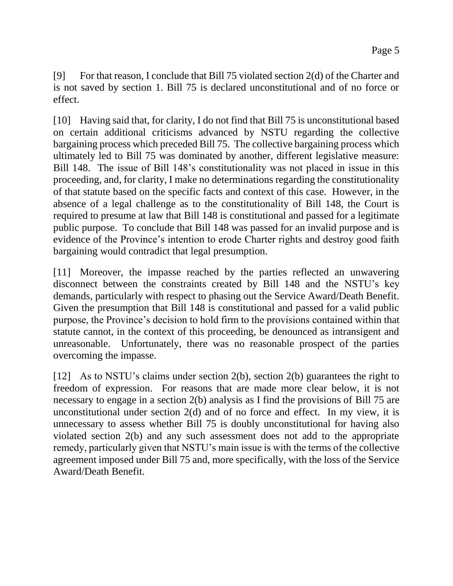[9] For that reason, I conclude that Bill 75 violated section 2(d) of the Charter and is not saved by section 1. Bill 75 is declared unconstitutional and of no force or effect.

[10] Having said that, for clarity, I do not find that Bill 75 is unconstitutional based on certain additional criticisms advanced by NSTU regarding the collective bargaining process which preceded Bill 75. The collective bargaining process which ultimately led to Bill 75 was dominated by another, different legislative measure: Bill 148. The issue of Bill 148's constitutionality was not placed in issue in this proceeding, and, for clarity, I make no determinations regarding the constitutionality of that statute based on the specific facts and context of this case. However, in the absence of a legal challenge as to the constitutionality of Bill 148, the Court is required to presume at law that Bill 148 is constitutional and passed for a legitimate public purpose. To conclude that Bill 148 was passed for an invalid purpose and is evidence of the Province's intention to erode Charter rights and destroy good faith bargaining would contradict that legal presumption.

[11] Moreover, the impasse reached by the parties reflected an unwavering disconnect between the constraints created by Bill 148 and the NSTU's key demands, particularly with respect to phasing out the Service Award/Death Benefit. Given the presumption that Bill 148 is constitutional and passed for a valid public purpose, the Province's decision to hold firm to the provisions contained within that statute cannot, in the context of this proceeding, be denounced as intransigent and unreasonable. Unfortunately, there was no reasonable prospect of the parties overcoming the impasse.

[12] As to NSTU's claims under section 2(b), section 2(b) guarantees the right to freedom of expression. For reasons that are made more clear below, it is not necessary to engage in a section 2(b) analysis as I find the provisions of Bill 75 are unconstitutional under section 2(d) and of no force and effect. In my view, it is unnecessary to assess whether Bill 75 is doubly unconstitutional for having also violated section 2(b) and any such assessment does not add to the appropriate remedy, particularly given that NSTU's main issue is with the terms of the collective agreement imposed under Bill 75 and, more specifically, with the loss of the Service Award/Death Benefit.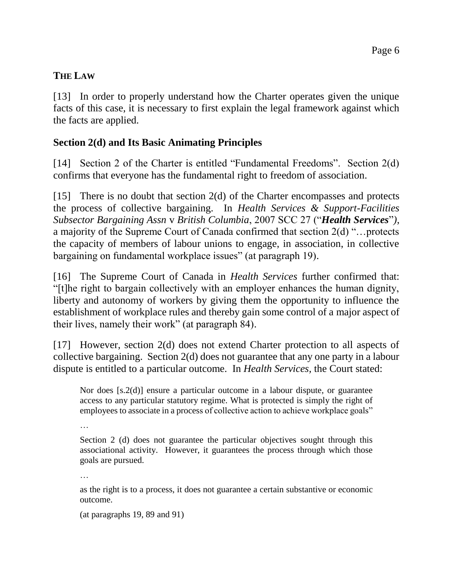## **THE LAW**

[13] In order to properly understand how the Charter operates given the unique facts of this case, it is necessary to first explain the legal framework against which the facts are applied.

### **Section 2(d) and Its Basic Animating Principles**

[14] Section 2 of the Charter is entitled "Fundamental Freedoms". Section 2(d) confirms that everyone has the fundamental right to freedom of association.

[15] There is no doubt that section 2(d) of the Charter encompasses and protects the process of collective bargaining. In *Health Services & Support-Facilities Subsector Bargaining Assn* v *British Columbia*, 2007 SCC 27 ("*Health Services*"*)*, a majority of the Supreme Court of Canada confirmed that section 2(d) "…protects the capacity of members of labour unions to engage, in association, in collective bargaining on fundamental workplace issues" (at paragraph 19).

[16] The Supreme Court of Canada in *Health Services* further confirmed that: "[t]he right to bargain collectively with an employer enhances the human dignity, liberty and autonomy of workers by giving them the opportunity to influence the establishment of workplace rules and thereby gain some control of a major aspect of their lives, namely their work" (at paragraph 84).

[17] However, section 2(d) does not extend Charter protection to all aspects of collective bargaining. Section 2(d) does not guarantee that any one party in a labour dispute is entitled to a particular outcome. In *Health Services,* the Court stated:

Nor does [s.2(d)] ensure a particular outcome in a labour dispute, or guarantee access to any particular statutory regime. What is protected is simply the right of employees to associate in a process of collective action to achieve workplace goals"

…

Section 2 (d) does not guarantee the particular objectives sought through this associational activity. However, it guarantees the process through which those goals are pursued.

…

as the right is to a process, it does not guarantee a certain substantive or economic outcome.

(at paragraphs 19, 89 and 91)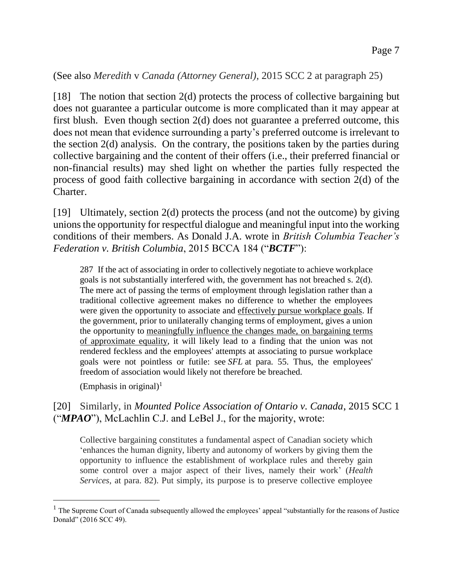#### (See also *Meredith* v *Canada (Attorney General)*, 2015 SCC 2 at paragraph 25)

[18] The notion that section 2(d) protects the process of collective bargaining but does not guarantee a particular outcome is more complicated than it may appear at first blush. Even though section 2(d) does not guarantee a preferred outcome, this does not mean that evidence surrounding a party's preferred outcome is irrelevant to the section 2(d) analysis. On the contrary, the positions taken by the parties during collective bargaining and the content of their offers (i.e., their preferred financial or non-financial results) may shed light on whether the parties fully respected the process of good faith collective bargaining in accordance with section 2(d) of the Charter.

[19] Ultimately, section 2(d) protects the process (and not the outcome) by giving unions the opportunity for respectful dialogue and meaningful input into the working conditions of their members. As Donald J.A. wrote in *British Columbia Teacher's Federation v. British Columbia*, 2015 BCCA 184 ("*BCTF*"):

287 If the act of associating in order to collectively negotiate to achieve workplace goals is not substantially interfered with, the government has not breached s. 2(d). The mere act of passing the terms of employment through legislation rather than a traditional collective agreement makes no difference to whether the employees were given the opportunity to associate and effectively pursue workplace goals. If the government, prior to unilaterally changing terms of employment, gives a union the opportunity to meaningfully influence the changes made, on bargaining terms of approximate equality, it will likely lead to a finding that the union was not rendered feckless and the employees' attempts at associating to pursue workplace goals were not pointless or futile: see *SFL* at para. 55. Thus, the employees' freedom of association would likely not therefore be breached.

 $(Emphasis in original)<sup>1</sup>$ 

 $\overline{a}$ 

### [20] Similarly, in *Mounted Police Association of Ontario v. Canada*, 2015 SCC 1 ("*MPAO*"), McLachlin C.J. and LeBel J., for the majority, wrote:

Collective bargaining constitutes a fundamental aspect of Canadian society which 'enhances the human dignity, liberty and autonomy of workers by giving them the opportunity to influence the establishment of workplace rules and thereby gain some control over a major aspect of their lives, namely their work' (*Health Services*, at para. 82). Put simply, its purpose is to preserve collective employee

 $<sup>1</sup>$  The Supreme Court of Canada subsequently allowed the employees' appeal "substantially for the reasons of Justice</sup> Donald" (2016 SCC 49).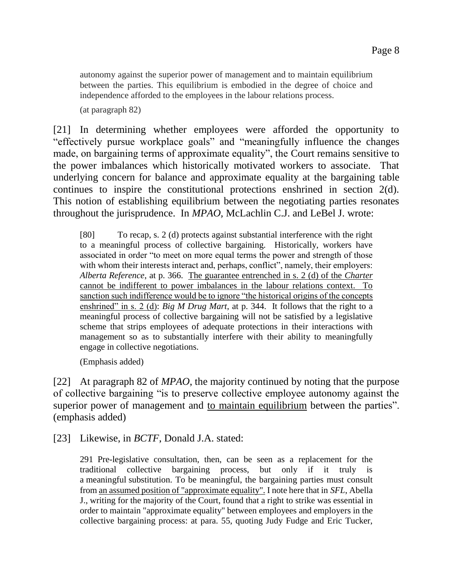autonomy against the superior power of management and to maintain equilibrium between the parties. This equilibrium is embodied in the degree of choice and independence afforded to the employees in the labour relations process.

(at paragraph 82)

[21] In determining whether employees were afforded the opportunity to "effectively pursue workplace goals" and "meaningfully influence the changes made, on bargaining terms of approximate equality", the Court remains sensitive to the power imbalances which historically motivated workers to associate. That underlying concern for balance and approximate equality at the bargaining table continues to inspire the constitutional protections enshrined in section 2(d). This notion of establishing equilibrium between the negotiating parties resonates throughout the jurisprudence. In *MPAO,* McLachlin C.J. and LeBel J. wrote:

[80] To recap, s. 2 (d) protects against substantial interference with the right to a meaningful process of collective bargaining. Historically, workers have associated in order "to meet on more equal terms the power and strength of those with whom their interests interact and, perhaps, conflict", namely, their employers: *Alberta Reference*, at p. 366. The guarantee entrenched in s. 2 (d) of the *Charter* cannot be indifferent to power imbalances in the labour relations context. To sanction such indifference would be to ignore "the historical origins of the concepts enshrined" in s. 2 (d): *Big M Drug Mart*, at p. 344. It follows that the right to a meaningful process of collective bargaining will not be satisfied by a legislative scheme that strips employees of adequate protections in their interactions with management so as to substantially interfere with their ability to meaningfully engage in collective negotiations.

(Emphasis added)

[22] At paragraph 82 of *MPAO*, the majority continued by noting that the purpose of collective bargaining "is to preserve collective employee autonomy against the superior power of management and to maintain equilibrium between the parties". (emphasis added)

[23] Likewise, in *BCTF*, Donald J.A. stated:

291 Pre-legislative consultation, then, can be seen as a replacement for the traditional collective bargaining process, but only if it truly is a meaningful substitution. To be meaningful, the bargaining parties must consult from an assumed position of "approximate equality". I note here that in *SFL*, Abella J., writing for the majority of the Court, found that a right to strike was essential in order to maintain "approximate equality" between employees and employers in the collective bargaining process: at para. 55, quoting Judy Fudge and Eric Tucker,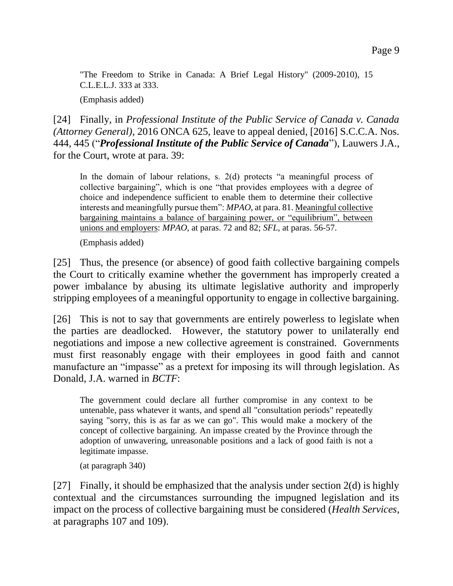"The Freedom to Strike in Canada: A Brief Legal History" (2009-2010), 15 C.L.E.L.J. 333 at 333.

(Emphasis added)

[24] Finally, in *Professional Institute of the Public Service of Canada v. Canada (Attorney General)*, 2016 ONCA 625, leave to appeal denied, [2016] S.C.C.A. Nos. 444, 445 ("*Professional Institute of the Public Service of Canada*"), Lauwers J.A., for the Court, wrote at para. 39:

In the domain of labour relations, s. 2(d) protects "a meaningful process of collective bargaining", which is one "that provides employees with a degree of choice and independence sufficient to enable them to determine their collective interests and meaningfully pursue them": *MPAO*, at para. 81. Meaningful collective bargaining maintains a balance of bargaining power, or "equilibrium", between unions and employers: *MPAO*, at paras. 72 and 82; *SFL*, at paras. 56-57.

(Emphasis added)

[25] Thus, the presence (or absence) of good faith collective bargaining compels the Court to critically examine whether the government has improperly created a power imbalance by abusing its ultimate legislative authority and improperly stripping employees of a meaningful opportunity to engage in collective bargaining.

[26] This is not to say that governments are entirely powerless to legislate when the parties are deadlocked. However, the statutory power to unilaterally end negotiations and impose a new collective agreement is constrained. Governments must first reasonably engage with their employees in good faith and cannot manufacture an "impasse" as a pretext for imposing its will through legislation. As Donald, J.A. warned in *BCTF*:

The government could declare all further compromise in any context to be untenable, pass whatever it wants, and spend all "consultation periods" repeatedly saying "sorry, this is as far as we can go". This would make a mockery of the concept of collective bargaining. An impasse created by the Province through the adoption of unwavering, unreasonable positions and a lack of good faith is not a legitimate impasse.

(at paragraph 340)

[27] Finally, it should be emphasized that the analysis under section  $2(d)$  is highly contextual and the circumstances surrounding the impugned legislation and its impact on the process of collective bargaining must be considered (*Health Services*, at paragraphs 107 and 109).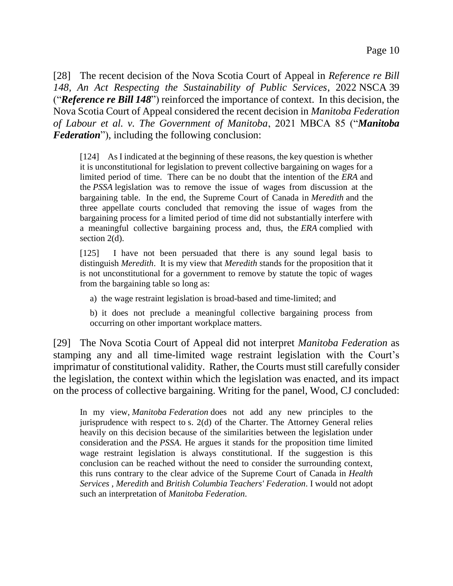[28] The recent decision of the Nova Scotia Court of Appeal in *Reference re Bill 148, An Act Respecting the Sustainability of Public Services*, 2022 NSCA 39 ("*Reference re Bill 148*") reinforced the importance of context. In this decision, the Nova Scotia Court of Appeal considered the recent decision in *Manitoba Federation of Labour et al. v. The Government of Manitoba*, 2021 MBCA 85 ("*Manitoba Federation*"), including the following conclusion:

[124] As I indicated at the beginning of these reasons, the key question is whether it is unconstitutional for legislation to prevent collective bargaining on wages for a limited period of time. There can be no doubt that the intention of the *ERA* and the *PSSA* legislation was to remove the issue of wages from discussion at the bargaining table. In the end, the Supreme Court of Canada in *Meredith* and the three appellate courts concluded that removing the issue of wages from the bargaining process for a limited period of time did not substantially interfere with a meaningful collective bargaining process and, thus, the *ERA* complied with section 2(d).

[125] I have not been persuaded that there is any sound legal basis to distinguish *Meredith*. It is my view that *Meredith* stands for the proposition that it is not unconstitutional for a government to remove by statute the topic of wages from the bargaining table so long as:

a) the wage restraint legislation is broad-based and time-limited; and

b) it does not preclude a meaningful collective bargaining process from occurring on other important workplace matters.

[29] The Nova Scotia Court of Appeal did not interpret *Manitoba Federation* as stamping any and all time-limited wage restraint legislation with the Court's imprimatur of constitutional validity. Rather, the Courts must still carefully consider the legislation, the context within which the legislation was enacted, and its impact on the process of collective bargaining. Writing for the panel, Wood, CJ concluded:

In my view, *Manitoba Federation* does not add any new principles to the jurisprudence with respect to s. 2(d) of the Charter*.* The Attorney General relies heavily on this decision because of the similarities between the legislation under consideration and the *PSSA*. He argues it stands for the proposition time limited wage restraint legislation is always constitutional. If the suggestion is this conclusion can be reached without the need to consider the surrounding context, this runs contrary to the clear advice of the Supreme Court of Canada in *Health Services* , *Meredith* and *British Columbia Teachers' Federation*. I would not adopt such an interpretation of *Manitoba Federation*.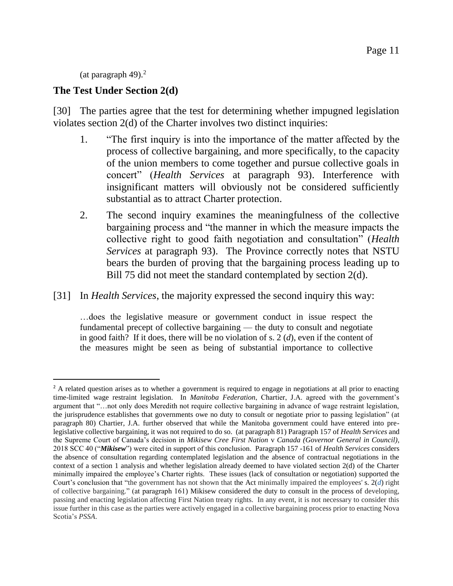(at paragraph 49). $^2$ 

l

### **The Test Under Section 2(d)**

[30] The parties agree that the test for determining whether impugned legislation violates section 2(d) of the Charter involves two distinct inquiries:

- 1. "The first inquiry is into the importance of the matter affected by the process of collective bargaining, and more specifically, to the capacity of the union members to come together and pursue collective goals in concert" (*Health Services* at paragraph 93). Interference with insignificant matters will obviously not be considered sufficiently substantial as to attract Charter protection.
- 2. The second inquiry examines the meaningfulness of the collective bargaining process and "the manner in which the measure impacts the collective right to good faith negotiation and consultation" (*Health Services* at paragraph 93). The Province correctly notes that NSTU bears the burden of proving that the bargaining process leading up to Bill 75 did not meet the standard contemplated by section 2(d).

[31] In *Health Services*, the majority expressed the second inquiry this way:

…does the legislative measure or government conduct in issue respect the fundamental precept of collective bargaining — the duty to consult and negotiate in good faith? If it does, there will be no violation of s. 2 (*d*), even if the content of the measures might be seen as being of substantial importance to collective

<sup>&</sup>lt;sup>2</sup> A related question arises as to whether a government is required to engage in negotiations at all prior to enacting time-limited wage restraint legislation. In *Manitoba Federation*, Chartier, J.A. agreed with the government's argument that "…not only does Meredith not require collective bargaining in advance of wage restraint legislation, the jurisprudence establishes that governments owe no duty to consult or negotiate prior to passing legislation" (at paragraph 80) Chartier, J.A. further observed that while the Manitoba government could have entered into prelegislative collective bargaining, it was not required to do so. (at paragraph 81) Paragraph 157 of *Health Services* and the Supreme Court of Canada's decision in *Mikisew Cree First Nation* v *Canada (Governor General in Council)*, 2018 SCC 40 ("*Mikisew*") were cited in support of this conclusion. Paragraph 157 -161 of *Health Services* considers the absence of consultation regarding contemplated legislation and the absence of contractual negotiations in the context of a section 1 analysis and whether legislation already deemed to have violated section 2(d) of the Charter minimally impaired the employee's Charter rights. These issues (lack of consultation or negotiation) supported the Court's conclusion that "the government has not shown that the Act minimally impaired the employees' s. 2(*d*) right of collective bargaining." (at paragraph 161) Mikisew considered the duty to consult in the process of developing, passing and enacting legislation affecting First Nation treaty rights. In any event, it is not necessary to consider this issue further in this case as the parties were actively engaged in a collective bargaining process prior to enacting Nova Scotia's *PSSA*.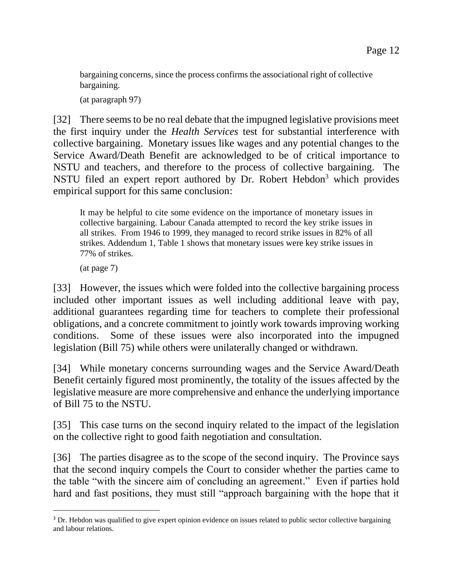bargaining concerns, since the process confirms the associational right of collective bargaining.

(at paragraph 97)

[32] There seems to be no real debate that the impugned legislative provisions meet the first inquiry under the *Health Services* test for substantial interference with collective bargaining. Monetary issues like wages and any potential changes to the Service Award/Death Benefit are acknowledged to be of critical importance to NSTU and teachers, and therefore to the process of collective bargaining. The NSTU filed an expert report authored by Dr. Robert Hebdon<sup>3</sup> which provides empirical support for this same conclusion:

It may be helpful to cite some evidence on the importance of monetary issues in collective bargaining. Labour Canada attempted to record the key strike issues in all strikes. From 1946 to 1999, they managed to record strike issues in 82% of all strikes. Addendum 1, Table 1 shows that monetary issues were key strike issues in 77% of strikes.

(at page 7)

l

[33] However, the issues which were folded into the collective bargaining process included other important issues as well including additional leave with pay, additional guarantees regarding time for teachers to complete their professional obligations, and a concrete commitment to jointly work towards improving working conditions. Some of these issues were also incorporated into the impugned legislation (Bill 75) while others were unilaterally changed or withdrawn.

[34] While monetary concerns surrounding wages and the Service Award/Death Benefit certainly figured most prominently, the totality of the issues affected by the legislative measure are more comprehensive and enhance the underlying importance of Bill 75 to the NSTU.

[35] This case turns on the second inquiry related to the impact of the legislation on the collective right to good faith negotiation and consultation.

[36] The parties disagree as to the scope of the second inquiry. The Province says that the second inquiry compels the Court to consider whether the parties came to the table "with the sincere aim of concluding an agreement." Even if parties hold hard and fast positions, they must still "approach bargaining with the hope that it

<sup>&</sup>lt;sup>3</sup> Dr. Hebdon was qualified to give expert opinion evidence on issues related to public sector collective bargaining and labour relations.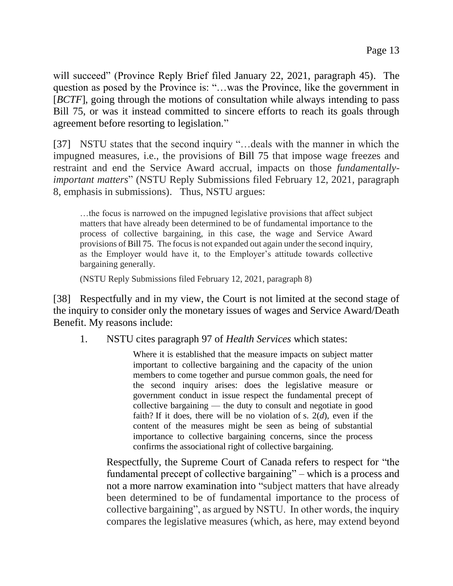will succeed" (Province Reply Brief filed January 22, 2021, paragraph 45). The question as posed by the Province is: "…was the Province, like the government in [*BCTF*], going through the motions of consultation while always intending to pass Bill 75, or was it instead committed to sincere efforts to reach its goals through agreement before resorting to legislation."

[37] NSTU states that the second inquiry "...deals with the manner in which the impugned measures, i.e., the provisions of Bill 75 that impose wage freezes and restraint and end the Service Award accrual, impacts on those *fundamentallyimportant matters*" (NSTU Reply Submissions filed February 12, 2021, paragraph 8, emphasis in submissions). Thus, NSTU argues:

…the focus is narrowed on the impugned legislative provisions that affect subject matters that have already been determined to be of fundamental importance to the process of collective bargaining, in this case, the wage and Service Award provisions of Bill 75. The focus is not expanded out again under the second inquiry, as the Employer would have it, to the Employer's attitude towards collective bargaining generally.

(NSTU Reply Submissions filed February 12, 2021, paragraph 8)

[38] Respectfully and in my view, the Court is not limited at the second stage of the inquiry to consider only the monetary issues of wages and Service Award/Death Benefit. My reasons include:

1. NSTU cites paragraph 97 of *Health Services* which states:

Where it is established that the measure impacts on subject matter important to collective bargaining and the capacity of the union members to come together and pursue common goals, the need for the second inquiry arises: does the legislative measure or government conduct in issue respect the fundamental precept of collective bargaining — the duty to consult and negotiate in good faith? If it does, there will be no violation of s.  $2(d)$ , even if the content of the measures might be seen as being of substantial importance to collective bargaining concerns, since the process confirms the associational right of collective bargaining.

Respectfully, the Supreme Court of Canada refers to respect for "the fundamental precept of collective bargaining" – which is a process and not a more narrow examination into "subject matters that have already been determined to be of fundamental importance to the process of collective bargaining", as argued by NSTU. In other words, the inquiry compares the legislative measures (which, as here, may extend beyond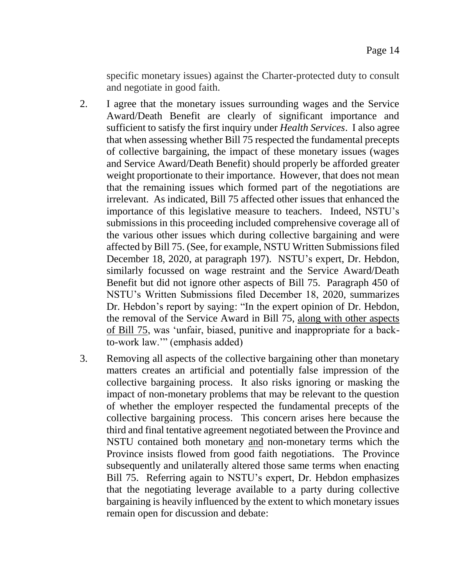specific monetary issues) against the Charter-protected duty to consult and negotiate in good faith.

- 2. I agree that the monetary issues surrounding wages and the Service Award/Death Benefit are clearly of significant importance and sufficient to satisfy the first inquiry under *Health Services*. I also agree that when assessing whether Bill 75 respected the fundamental precepts of collective bargaining, the impact of these monetary issues (wages and Service Award/Death Benefit) should properly be afforded greater weight proportionate to their importance. However, that does not mean that the remaining issues which formed part of the negotiations are irrelevant. As indicated, Bill 75 affected other issues that enhanced the importance of this legislative measure to teachers. Indeed, NSTU's submissions in this proceeding included comprehensive coverage all of the various other issues which during collective bargaining and were affected by Bill 75. (See, for example, NSTU Written Submissions filed December 18, 2020, at paragraph 197). NSTU's expert, Dr. Hebdon, similarly focussed on wage restraint and the Service Award/Death Benefit but did not ignore other aspects of Bill 75. Paragraph 450 of NSTU's Written Submissions filed December 18, 2020, summarizes Dr. Hebdon's report by saying: "In the expert opinion of Dr. Hebdon, the removal of the Service Award in Bill 75, along with other aspects of Bill 75, was 'unfair, biased, punitive and inappropriate for a backto-work law.'" (emphasis added)
- 3. Removing all aspects of the collective bargaining other than monetary matters creates an artificial and potentially false impression of the collective bargaining process. It also risks ignoring or masking the impact of non-monetary problems that may be relevant to the question of whether the employer respected the fundamental precepts of the collective bargaining process. This concern arises here because the third and final tentative agreement negotiated between the Province and NSTU contained both monetary and non-monetary terms which the Province insists flowed from good faith negotiations. The Province subsequently and unilaterally altered those same terms when enacting Bill 75. Referring again to NSTU's expert, Dr. Hebdon emphasizes that the negotiating leverage available to a party during collective bargaining is heavily influenced by the extent to which monetary issues remain open for discussion and debate: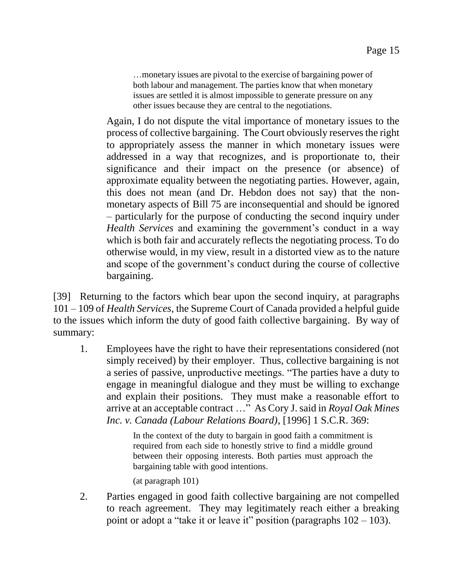…monetary issues are pivotal to the exercise of bargaining power of both labour and management. The parties know that when monetary issues are settled it is almost impossible to generate pressure on any other issues because they are central to the negotiations.

Again, I do not dispute the vital importance of monetary issues to the process of collective bargaining. The Court obviously reserves the right to appropriately assess the manner in which monetary issues were addressed in a way that recognizes, and is proportionate to, their significance and their impact on the presence (or absence) of approximate equality between the negotiating parties. However, again, this does not mean (and Dr. Hebdon does not say) that the nonmonetary aspects of Bill 75 are inconsequential and should be ignored – particularly for the purpose of conducting the second inquiry under *Health Services* and examining the government's conduct in a way which is both fair and accurately reflects the negotiating process. To do otherwise would, in my view, result in a distorted view as to the nature and scope of the government's conduct during the course of collective bargaining.

[39] Returning to the factors which bear upon the second inquiry, at paragraphs 101 – 109 of *Health Services*, the Supreme Court of Canada provided a helpful guide to the issues which inform the duty of good faith collective bargaining. By way of summary:

1. Employees have the right to have their representations considered (not simply received) by their employer. Thus, collective bargaining is not a series of passive, unproductive meetings. "The parties have a duty to engage in meaningful dialogue and they must be willing to exchange and explain their positions. They must make a reasonable effort to arrive at an acceptable contract …" As Cory J. said in *Royal Oak Mines Inc. v. Canada (Labour Relations Board)*, [1996] 1 S.C.R. 369:

> In the context of the duty to bargain in good faith a commitment is required from each side to honestly strive to find a middle ground between their opposing interests. Both parties must approach the bargaining table with good intentions.

(at paragraph 101)

2. Parties engaged in good faith collective bargaining are not compelled to reach agreement. They may legitimately reach either a breaking point or adopt a "take it or leave it" position (paragraphs  $102 - 103$ ).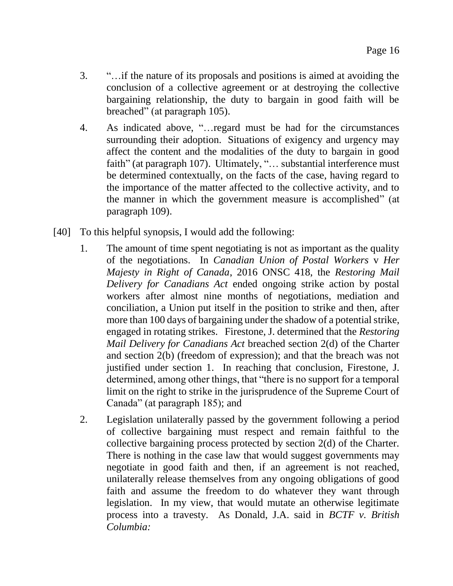- 3. "…if the nature of its proposals and positions is aimed at avoiding the conclusion of a collective agreement or at destroying the collective bargaining relationship, the duty to bargain in good faith will be breached" (at paragraph 105).
- 4. As indicated above, "…regard must be had for the circumstances surrounding their adoption. Situations of exigency and urgency may affect the content and the modalities of the duty to bargain in good faith" (at paragraph 107). Ultimately, "... substantial interference must be determined contextually, on the facts of the case, having regard to the importance of the matter affected to the collective activity, and to the manner in which the government measure is accomplished" (at paragraph 109).
- [40] To this helpful synopsis, I would add the following:
	- 1. The amount of time spent negotiating is not as important as the quality of the negotiations. In *Canadian Union of Postal Workers* v *Her Majesty in Right of Canada*, 2016 ONSC 418, the *Restoring Mail Delivery for Canadians Act* ended ongoing strike action by postal workers after almost nine months of negotiations, mediation and conciliation, a Union put itself in the position to strike and then, after more than 100 days of bargaining under the shadow of a potential strike, engaged in rotating strikes. Firestone, J. determined that the *Restoring Mail Delivery for Canadians Act* breached section 2(d) of the Charter and section 2(b) (freedom of expression); and that the breach was not justified under section 1. In reaching that conclusion, Firestone, J. determined, among other things, that "there is no support for a temporal limit on the right to strike in the jurisprudence of the Supreme Court of Canada" (at paragraph 185); and
	- 2. Legislation unilaterally passed by the government following a period of collective bargaining must respect and remain faithful to the collective bargaining process protected by section 2(d) of the Charter. There is nothing in the case law that would suggest governments may negotiate in good faith and then, if an agreement is not reached, unilaterally release themselves from any ongoing obligations of good faith and assume the freedom to do whatever they want through legislation. In my view, that would mutate an otherwise legitimate process into a travesty. As Donald, J.A. said in *BCTF v. British Columbia:*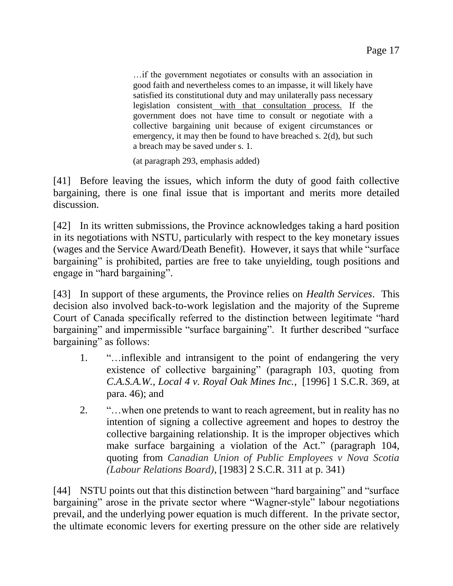…if the government negotiates or consults with an association in good faith and nevertheless comes to an impasse, it will likely have satisfied its constitutional duty and may unilaterally pass necessary legislation consistent with that consultation process. If the government does not have time to consult or negotiate with a collective bargaining unit because of exigent circumstances or emergency, it may then be found to have breached s. 2(d), but such a breach may be saved under s. 1.

(at paragraph 293, emphasis added)

[41] Before leaving the issues, which inform the duty of good faith collective bargaining, there is one final issue that is important and merits more detailed discussion.

[42] In its written submissions, the Province acknowledges taking a hard position in its negotiations with NSTU, particularly with respect to the key monetary issues (wages and the Service Award/Death Benefit). However, it says that while "surface bargaining" is prohibited, parties are free to take unyielding, tough positions and engage in "hard bargaining".

[43] In support of these arguments, the Province relies on *Health Services*. This decision also involved back-to-work legislation and the majority of the Supreme Court of Canada specifically referred to the distinction between legitimate "hard bargaining" and impermissible "surface bargaining". It further described "surface bargaining" as follows:

- 1. "…inflexible and intransigent to the point of endangering the very existence of collective bargaining" (paragraph 103, quoting from *C.A.S.A.W., Local 4 v. Royal Oak Mines Inc.*, [1996] 1 S.C.R. 369, at para. 46); and
- 2. "…when one pretends to want to reach agreement, but in reality has no intention of signing a collective agreement and hopes to destroy the collective bargaining relationship. It is the improper objectives which make surface bargaining a violation of [the Act.](https://nextcanada.westlaw.com/Link/Document/FullText?findType=Y&serNum=0280765015&pubNum=135352&originatingDoc=I326749cb6ec539abe0440003ba0d6c6d&refType=IG&docFamilyGuid=I2f05b14cf4f411d99f28ffa0ae8c2575&targetPreference=DocLanguage%3aEN&originationContext=document&transitionType=DocumentItem&contextData=(sc.DocLink))" (paragraph 104, quoting from *Canadian Union of Public Employees v Nova Scotia (Labour Relations Board)*, [1983] 2 S.C.R. 311 at p. 341)

[44] NSTU points out that this distinction between "hard bargaining" and "surface bargaining" arose in the private sector where "Wagner-style" labour negotiations prevail, and the underlying power equation is much different. In the private sector, the ultimate economic levers for exerting pressure on the other side are relatively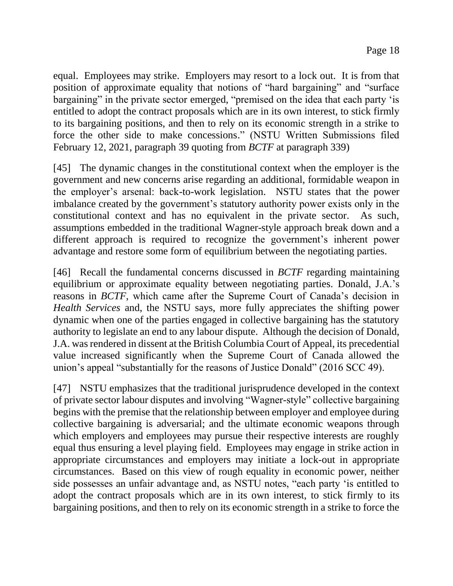equal. Employees may strike. Employers may resort to a lock out. It is from that position of approximate equality that notions of "hard bargaining" and "surface bargaining" in the private sector emerged, "premised on the idea that each party 'is entitled to adopt the contract proposals which are in its own interest, to stick firmly to its bargaining positions, and then to rely on its economic strength in a strike to force the other side to make concessions." (NSTU Written Submissions filed February 12, 2021, paragraph 39 quoting from *BCTF* at paragraph 339)

[45] The dynamic changes in the constitutional context when the employer is the government and new concerns arise regarding an additional, formidable weapon in the employer's arsenal: back-to-work legislation. NSTU states that the power imbalance created by the government's statutory authority power exists only in the constitutional context and has no equivalent in the private sector. As such, assumptions embedded in the traditional Wagner-style approach break down and a different approach is required to recognize the government's inherent power advantage and restore some form of equilibrium between the negotiating parties.

[46] Recall the fundamental concerns discussed in *BCTF* regarding maintaining equilibrium or approximate equality between negotiating parties. Donald, J.A.'s reasons in *BCTF*, which came after the Supreme Court of Canada's decision in *Health Services* and, the NSTU says, more fully appreciates the shifting power dynamic when one of the parties engaged in collective bargaining has the statutory authority to legislate an end to any labour dispute. Although the decision of Donald, J.A. was rendered in dissent at the British Columbia Court of Appeal, its precedential value increased significantly when the Supreme Court of Canada allowed the union's appeal "substantially for the reasons of Justice Donald" (2016 SCC 49).

[47] NSTU emphasizes that the traditional jurisprudence developed in the context of private sector labour disputes and involving "Wagner-style" collective bargaining begins with the premise that the relationship between employer and employee during collective bargaining is adversarial; and the ultimate economic weapons through which employers and employees may pursue their respective interests are roughly equal thus ensuring a level playing field. Employees may engage in strike action in appropriate circumstances and employers may initiate a lock-out in appropriate circumstances. Based on this view of rough equality in economic power, neither side possesses an unfair advantage and, as NSTU notes, "each party 'is entitled to adopt the contract proposals which are in its own interest, to stick firmly to its bargaining positions, and then to rely on its economic strength in a strike to force the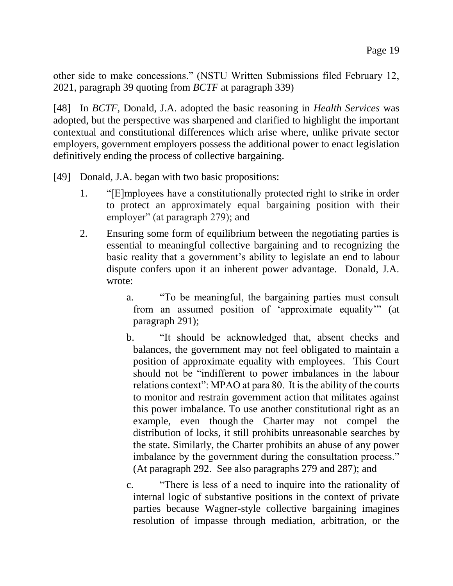other side to make concessions." (NSTU Written Submissions filed February 12, 2021, paragraph 39 quoting from *BCTF* at paragraph 339)

[48] In *BCTF*, Donald, J.A. adopted the basic reasoning in *Health Services* was adopted, but the perspective was sharpened and clarified to highlight the important contextual and constitutional differences which arise where, unlike private sector employers, government employers possess the additional power to enact legislation definitively ending the process of collective bargaining.

[49] Donald, J.A. began with two basic propositions:

- 1. "[E]mployees have a constitutionally protected right to strike in order to protect an approximately equal bargaining position with their employer" (at paragraph 279); and
- 2. Ensuring some form of equilibrium between the negotiating parties is essential to meaningful collective bargaining and to recognizing the basic reality that a government's ability to legislate an end to labour dispute confers upon it an inherent power advantage. Donald, J.A. wrote:
	- a. "To be meaningful, the bargaining parties must consult from an assumed position of 'approximate equality'" (at paragraph 291);
	- b. "It should be acknowledged that, absent checks and balances, the government may not feel obligated to maintain a position of approximate equality with employees. This Court should not be "indifferent to power imbalances in the labour relations context": MPAO at para 80. It is the ability of the courts to monitor and restrain government action that militates against this power imbalance. To use another constitutional right as an example, even though the Charter may not compel the distribution of locks, it still prohibits unreasonable searches by the state. Similarly, the Charter prohibits an abuse of any power imbalance by the government during the consultation process." (At paragraph 292. See also paragraphs 279 and 287); and
	- c. "There is less of a need to inquire into the rationality of internal logic of substantive positions in the context of private parties because Wagner-style collective bargaining imagines resolution of impasse through mediation, arbitration, or the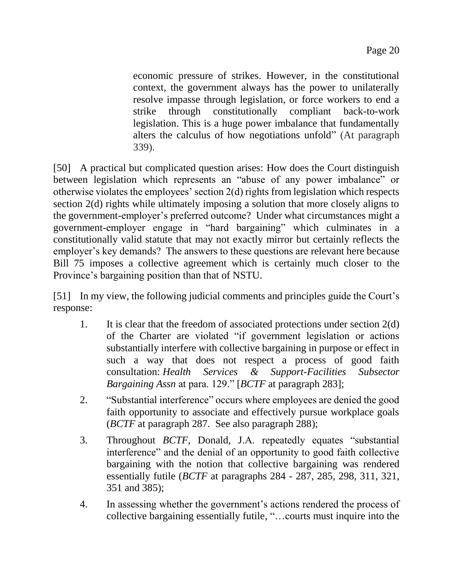economic pressure of strikes. However, in the constitutional context, the government always has the power to unilaterally resolve impasse through legislation, or force workers to end a strike through constitutionally compliant back-to-work legislation. This is a huge power imbalance that fundamentally alters the calculus of how negotiations unfold" (At paragraph 339).

[50] A practical but complicated question arises: How does the Court distinguish between legislation which represents an "abuse of any power imbalance" or otherwise violates the employees' section 2(d) rights from legislation which respects section 2(d) rights while ultimately imposing a solution that more closely aligns to the government-employer's preferred outcome? Under what circumstances might a government-employer engage in "hard bargaining" which culminates in a constitutionally valid statute that may not exactly mirror but certainly reflects the employer's key demands? The answers to these questions are relevant here because Bill 75 imposes a collective agreement which is certainly much closer to the Province's bargaining position than that of NSTU.

[51] In my view, the following judicial comments and principles guide the Court's response:

- 1. It is clear that the freedom of associated protections under section 2(d) of the Charter are violated "if government legislation or actions substantially interfere with collective bargaining in purpose or effect in such a way that does not respect a process of good faith consultation: *Health Services & Support-Facilities Subsector Bargaining Assn* at para. 129." [*BCTF* at paragraph 283];
- 2. "Substantial interference" occurs where employees are denied the good faith opportunity to associate and effectively pursue workplace goals (*BCTF* at paragraph 287. See also paragraph 288);
- 3. Throughout *BCTF*, Donald, J.A. repeatedly equates "substantial interference" and the denial of an opportunity to good faith collective bargaining with the notion that collective bargaining was rendered essentially futile (*BCTF* at paragraphs 284 - 287, 285, 298, 311, 321, 351 and 385);
- 4. In assessing whether the government's actions rendered the process of collective bargaining essentially futile, "…courts must inquire into the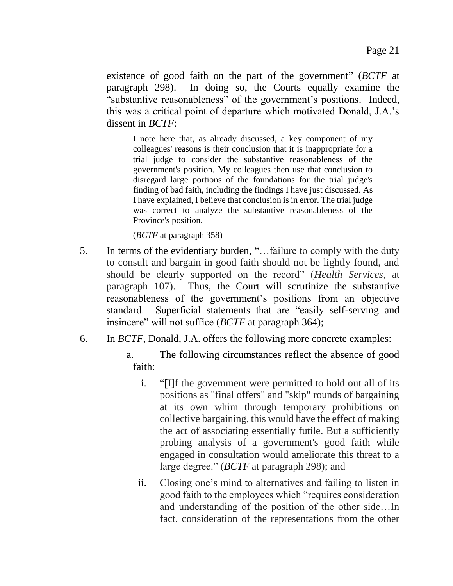existence of good faith on the part of the government" (*BCTF* at paragraph 298). In doing so, the Courts equally examine the "substantive reasonableness" of the government's positions. Indeed, this was a critical point of departure which motivated Donald, J.A.'s dissent in *BCTF*:

I note here that, as already discussed, a key component of my colleagues' reasons is their conclusion that it is inappropriate for a trial judge to consider the substantive reasonableness of the government's position. My colleagues then use that conclusion to disregard large portions of the foundations for the trial judge's finding of bad faith, including the findings I have just discussed. As I have explained, I believe that conclusion is in error. The trial judge was correct to analyze the substantive reasonableness of the Province's position.

(*BCTF* at paragraph 358)

- 5. In terms of the evidentiary burden, "…failure to comply with the duty to consult and bargain in good faith should not be lightly found, and should be clearly supported on the record" (*Health Services*, at paragraph 107). Thus, the Court will scrutinize the substantive reasonableness of the government's positions from an objective standard. Superficial statements that are "easily self-serving and insincere" will not suffice (*BCTF* at paragraph 364);
- 6. In *BCTF*, Donald, J.A. offers the following more concrete examples:
	- a. The following circumstances reflect the absence of good faith:
		- i. "[I]f the government were permitted to hold out all of its positions as "final offers" and "skip" rounds of bargaining at its own whim through temporary prohibitions on collective bargaining, this would have the effect of making the act of associating essentially futile. But a sufficiently probing analysis of a government's good faith while engaged in consultation would ameliorate this threat to a large degree." (*BCTF* at paragraph 298); and
		- ii. Closing one's mind to alternatives and failing to listen in good faith to the employees which "requires consideration and understanding of the position of the other side…In fact, consideration of the representations from the other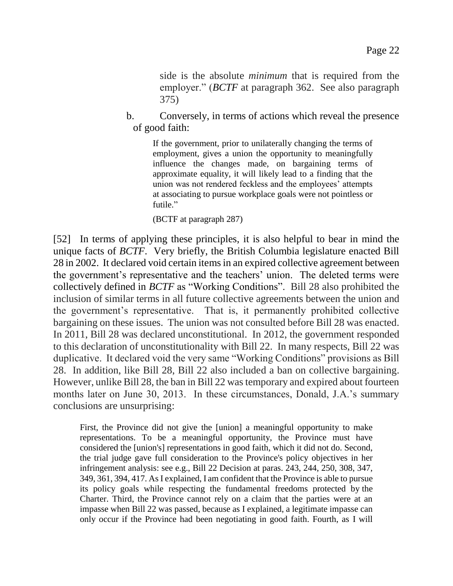side is the absolute *minimum* that is required from the employer." (*BCTF* at paragraph 362. See also paragraph 375)

b. Conversely, in terms of actions which reveal the presence of good faith:

> If the government, prior to unilaterally changing the terms of employment, gives a union the opportunity to meaningfully influence the changes made, on bargaining terms of approximate equality, it will likely lead to a finding that the union was not rendered feckless and the employees' attempts at associating to pursue workplace goals were not pointless or futile."

#### (BCTF at paragraph 287)

[52] In terms of applying these principles, it is also helpful to bear in mind the unique facts of *BCTF*. Very briefly, the British Columbia legislature enacted Bill 28 in 2002. It declared void certain items in an expired collective agreement between the government's representative and the teachers' union. The deleted terms were collectively defined in *BCTF* as "Working Conditions". Bill 28 also prohibited the inclusion of similar terms in all future collective agreements between the union and the government's representative. That is, it permanently prohibited collective bargaining on these issues. The union was not consulted before Bill 28 was enacted. In 2011, Bill 28 was declared unconstitutional. In 2012, the government responded to this declaration of unconstitutionality with Bill 22. In many respects, Bill 22 was duplicative. It declared void the very same "Working Conditions" provisions as Bill 28. In addition, like Bill 28, Bill 22 also included a ban on collective bargaining. However, unlike Bill 28, the ban in Bill 22 was temporary and expired about fourteen months later on June 30, 2013. In these circumstances, Donald, J.A.'s summary conclusions are unsurprising:

First, the Province did not give the [union] a meaningful opportunity to make representations. To be a meaningful opportunity, the Province must have considered the [union's] representations in good faith, which it did not do. Second, the trial judge gave full consideration to the Province's policy objectives in her infringement analysis: see e.g., Bill 22 Decision at paras. 243, 244, 250, 308, 347, 349, 361, 394, 417. As I explained, I am confident that the Province is able to pursue its policy goals while respecting the fundamental freedoms protected by the Charter. Third, the Province cannot rely on a claim that the parties were at an impasse when Bill 22 was passed, because as I explained, a legitimate impasse can only occur if the Province had been negotiating in good faith. Fourth, as I will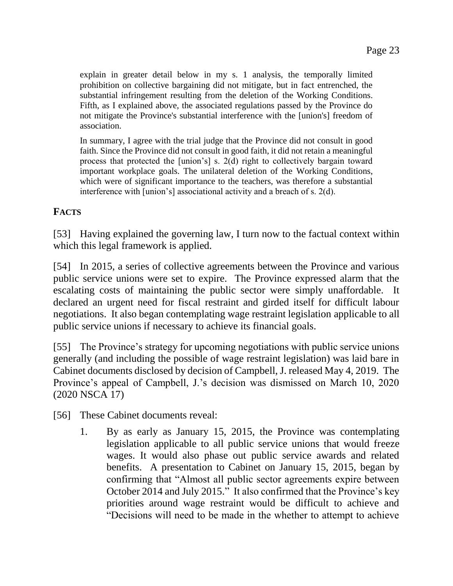explain in greater detail below in my s. 1 analysis, the temporally limited prohibition on collective bargaining did not mitigate, but in fact entrenched, the substantial infringement resulting from the deletion of the Working Conditions. Fifth, as I explained above, the associated regulations passed by the Province do not mitigate the Province's substantial interference with the [union's] freedom of association.

In summary, I agree with the trial judge that the Province did not consult in good faith. Since the Province did not consult in good faith, it did not retain a meaningful process that protected the [union's] s. 2(d) right to collectively bargain toward important workplace goals. The unilateral deletion of the Working Conditions, which were of significant importance to the teachers, was therefore a substantial interference with [union's] associational activity and a breach of s. 2(d).

#### **FACTS**

[53] Having explained the governing law, I turn now to the factual context within which this legal framework is applied.

[54] In 2015, a series of collective agreements between the Province and various public service unions were set to expire. The Province expressed alarm that the escalating costs of maintaining the public sector were simply unaffordable. It declared an urgent need for fiscal restraint and girded itself for difficult labour negotiations. It also began contemplating wage restraint legislation applicable to all public service unions if necessary to achieve its financial goals.

[55] The Province's strategy for upcoming negotiations with public service unions generally (and including the possible of wage restraint legislation) was laid bare in Cabinet documents disclosed by decision of Campbell, J. released May 4, 2019. The Province's appeal of Campbell, J.'s decision was dismissed on March 10, 2020 (2020 NSCA 17)

[56] These Cabinet documents reveal:

1. By as early as January 15, 2015, the Province was contemplating legislation applicable to all public service unions that would freeze wages. It would also phase out public service awards and related benefits. A presentation to Cabinet on January 15, 2015, began by confirming that "Almost all public sector agreements expire between October 2014 and July 2015." It also confirmed that the Province's key priorities around wage restraint would be difficult to achieve and "Decisions will need to be made in the whether to attempt to achieve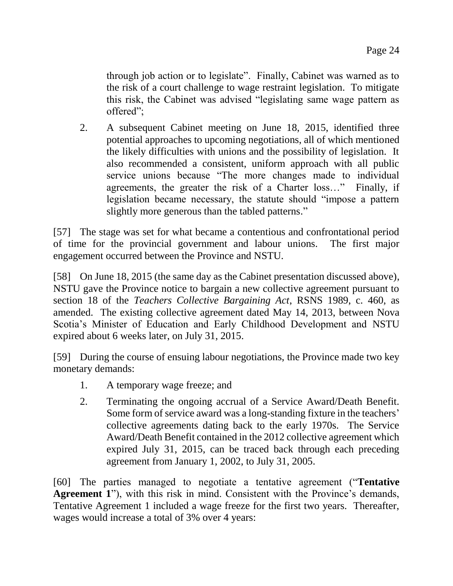through job action or to legislate". Finally, Cabinet was warned as to the risk of a court challenge to wage restraint legislation. To mitigate this risk, the Cabinet was advised "legislating same wage pattern as offered";

2. A subsequent Cabinet meeting on June 18, 2015, identified three potential approaches to upcoming negotiations, all of which mentioned the likely difficulties with unions and the possibility of legislation. It also recommended a consistent, uniform approach with all public service unions because "The more changes made to individual agreements, the greater the risk of a Charter loss…" Finally, if legislation became necessary, the statute should "impose a pattern slightly more generous than the tabled patterns."

[57] The stage was set for what became a contentious and confrontational period of time for the provincial government and labour unions. The first major engagement occurred between the Province and NSTU.

[58] On June 18, 2015 (the same day as the Cabinet presentation discussed above), NSTU gave the Province notice to bargain a new collective agreement pursuant to section 18 of the *Teachers Collective Bargaining Act*, RSNS 1989, c. 460, as amended. The existing collective agreement dated May 14, 2013, between Nova Scotia's Minister of Education and Early Childhood Development and NSTU expired about 6 weeks later, on July 31, 2015.

[59] During the course of ensuing labour negotiations, the Province made two key monetary demands:

- 1. A temporary wage freeze; and
- 2. Terminating the ongoing accrual of a Service Award/Death Benefit. Some form of service award was a long-standing fixture in the teachers' collective agreements dating back to the early 1970s. The Service Award/Death Benefit contained in the 2012 collective agreement which expired July 31, 2015, can be traced back through each preceding agreement from January 1, 2002, to July 31, 2005.

[60] The parties managed to negotiate a tentative agreement ("**Tentative Agreement 1**"), with this risk in mind. Consistent with the Province's demands, Tentative Agreement 1 included a wage freeze for the first two years. Thereafter, wages would increase a total of 3% over 4 years: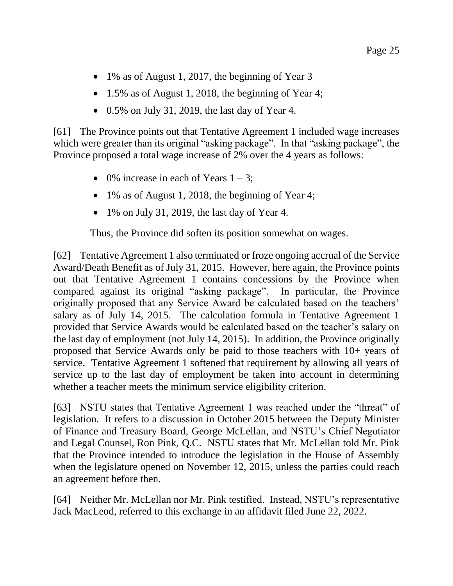- 1% as of August 1, 2017, the beginning of Year 3
- 1.5% as of August 1, 2018, the beginning of Year 4;
- $\bullet$  0.5% on July 31, 2019, the last day of Year 4.

[61] The Province points out that Tentative Agreement 1 included wage increases which were greater than its original "asking package". In that "asking package", the Province proposed a total wage increase of 2% over the 4 years as follows:

- $\bullet$  0% increase in each of Years 1 3;
- 1% as of August 1, 2018, the beginning of Year 4;
- 1% on July 31, 2019, the last day of Year 4.

Thus, the Province did soften its position somewhat on wages.

[62] Tentative Agreement 1 also terminated or froze ongoing accrual of the Service Award/Death Benefit as of July 31, 2015. However, here again, the Province points out that Tentative Agreement 1 contains concessions by the Province when compared against its original "asking package". In particular, the Province originally proposed that any Service Award be calculated based on the teachers' salary as of July 14, 2015. The calculation formula in Tentative Agreement 1 provided that Service Awards would be calculated based on the teacher's salary on the last day of employment (not July 14, 2015). In addition, the Province originally proposed that Service Awards only be paid to those teachers with 10+ years of service. Tentative Agreement 1 softened that requirement by allowing all years of service up to the last day of employment be taken into account in determining whether a teacher meets the minimum service eligibility criterion.

[63] NSTU states that Tentative Agreement 1 was reached under the "threat" of legislation. It refers to a discussion in October 2015 between the Deputy Minister of Finance and Treasury Board, George McLellan, and NSTU's Chief Negotiator and Legal Counsel, Ron Pink, Q.C. NSTU states that Mr. McLellan told Mr. Pink that the Province intended to introduce the legislation in the House of Assembly when the legislature opened on November 12, 2015, unless the parties could reach an agreement before then.

[64] Neither Mr. McLellan nor Mr. Pink testified. Instead, NSTU's representative Jack MacLeod, referred to this exchange in an affidavit filed June 22, 2022.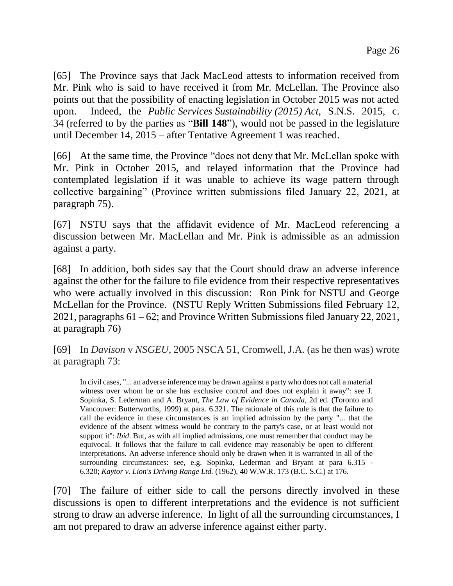[65] The Province says that Jack MacLeod attests to information received from Mr. Pink who is said to have received it from Mr. McLellan. The Province also points out that the possibility of enacting legislation in October 2015 was not acted upon. Indeed, the *Public Services Sustainability (2015) Act*, S.N.S. 2015, c. 34 (referred to by the parties as "**Bill 148**"), would not be passed in the legislature until December 14, 2015 – after Tentative Agreement 1 was reached.

[66] At the same time, the Province "does not deny that Mr. McLellan spoke with Mr. Pink in October 2015, and relayed information that the Province had contemplated legislation if it was unable to achieve its wage pattern through collective bargaining" (Province written submissions filed January 22, 2021, at paragraph 75).

[67] NSTU says that the affidavit evidence of Mr. MacLeod referencing a discussion between Mr. MacLellan and Mr. Pink is admissible as an admission against a party.

[68] In addition, both sides say that the Court should draw an adverse inference against the other for the failure to file evidence from their respective representatives who were actually involved in this discussion: Ron Pink for NSTU and George McLellan for the Province. (NSTU Reply Written Submissions filed February 12, 2021, paragraphs 61 – 62; and Province Written Submissions filed January 22, 2021, at paragraph 76)

[69] In *Davison* v *NSGEU*, 2005 NSCA 51, Cromwell, J.A. (as he then was) wrote at paragraph 73:

In civil cases, "... an adverse inference may be drawn against a party who does not call a material witness over whom he or she has exclusive control and does not explain it away": see J. Sopinka, S. Lederman and A. Bryant, *The Law of Evidence in Canada*, 2d ed. (Toronto and Vancouver: Butterworths, 1999) at para. 6.321. The rationale of this rule is that the failure to call the evidence in these circumstances is an implied admission by the party "... that the evidence of the absent witness would be contrary to the party's case, or at least would not support it": *Ibid*. But, as with all implied admissions, one must remember that conduct may be equivocal. It follows that the failure to call evidence may reasonably be open to different interpretations. An adverse inference should only be drawn when it is warranted in all of the surrounding circumstances: see, e.g. Sopinka, Lederman and Bryant at para 6.315 - 6.320; *Kaytor v. Lion's Driving Range Ltd.* (1962), 40 W.W.R. 173 (B.C. S.C.) at 176.

[70] The failure of either side to call the persons directly involved in these discussions is open to different interpretations and the evidence is not sufficient strong to draw an adverse inference. In light of all the surrounding circumstances, I am not prepared to draw an adverse inference against either party.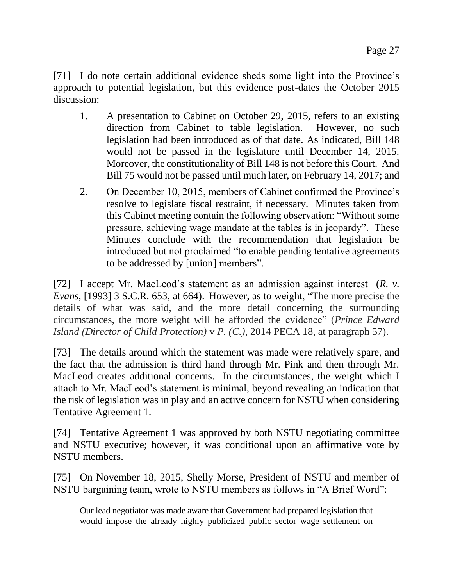[71] I do note certain additional evidence sheds some light into the Province's approach to potential legislation, but this evidence post-dates the October 2015 discussion:

- 1. A presentation to Cabinet on October 29, 2015, refers to an existing direction from Cabinet to table legislation. However, no such legislation had been introduced as of that date. As indicated, Bill 148 would not be passed in the legislature until December 14, 2015. Moreover, the constitutionality of Bill 148 is not before this Court. And Bill 75 would not be passed until much later, on February 14, 2017; and
- 2. On December 10, 2015, members of Cabinet confirmed the Province's resolve to legislate fiscal restraint, if necessary. Minutes taken from this Cabinet meeting contain the following observation: "Without some pressure, achieving wage mandate at the tables is in jeopardy". These Minutes conclude with the recommendation that legislation be introduced but not proclaimed "to enable pending tentative agreements to be addressed by [union] members".

[72] I accept Mr. MacLeod's statement as an admission against interest (*R. v. Evans*, [1993] 3 S.C.R. 653, at 664). However, as to weight, "The more precise the details of what was said, and the more detail concerning the surrounding circumstances, the more weight will be afforded the evidence" (*Prince Edward Island (Director of Child Protection)* v *P. (C.)*, 2014 PECA 18, at paragraph 57).

[73] The details around which the statement was made were relatively spare, and the fact that the admission is third hand through Mr. Pink and then through Mr. MacLeod creates additional concerns. In the circumstances, the weight which I attach to Mr. MacLeod's statement is minimal, beyond revealing an indication that the risk of legislation was in play and an active concern for NSTU when considering Tentative Agreement 1.

[74] Tentative Agreement 1 was approved by both NSTU negotiating committee and NSTU executive; however, it was conditional upon an affirmative vote by NSTU members.

[75] On November 18, 2015, Shelly Morse, President of NSTU and member of NSTU bargaining team, wrote to NSTU members as follows in "A Brief Word":

Our lead negotiator was made aware that Government had prepared legislation that would impose the already highly publicized public sector wage settlement on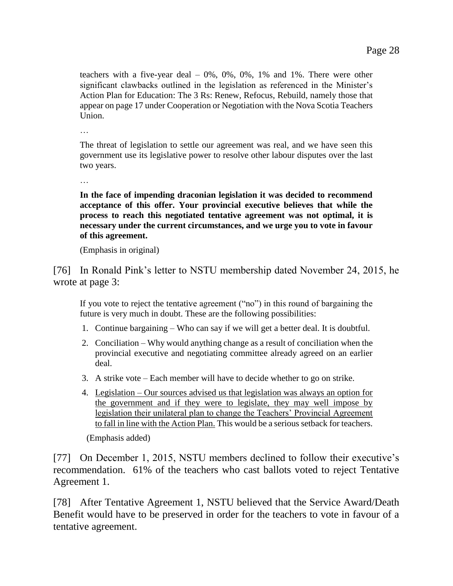teachers with a five-year deal – 0%, 0%, 0%, 1% and 1%. There were other significant clawbacks outlined in the legislation as referenced in the Minister's Action Plan for Education: The 3 Rs: Renew, Refocus, Rebuild, namely those that appear on page 17 under Cooperation or Negotiation with the Nova Scotia Teachers Union.

…

The threat of legislation to settle our agreement was real, and we have seen this government use its legislative power to resolve other labour disputes over the last two years.

…

**In the face of impending draconian legislation it was decided to recommend acceptance of this offer. Your provincial executive believes that while the process to reach this negotiated tentative agreement was not optimal, it is necessary under the current circumstances, and we urge you to vote in favour of this agreement.**

(Emphasis in original)

[76] In Ronald Pink's letter to NSTU membership dated November 24, 2015, he wrote at page 3:

If you vote to reject the tentative agreement ("no") in this round of bargaining the future is very much in doubt. These are the following possibilities:

- 1. Continue bargaining Who can say if we will get a better deal. It is doubtful.
- 2. Conciliation Why would anything change as a result of conciliation when the provincial executive and negotiating committee already agreed on an earlier deal.
- 3. A strike vote Each member will have to decide whether to go on strike.
- 4. Legislation Our sources advised us that legislation was always an option for the government and if they were to legislate, they may well impose by legislation their unilateral plan to change the Teachers' Provincial Agreement to fall in line with the Action Plan. This would be a serious setback for teachers.

(Emphasis added)

[77] On December 1, 2015, NSTU members declined to follow their executive's recommendation. 61% of the teachers who cast ballots voted to reject Tentative Agreement 1.

[78] After Tentative Agreement 1, NSTU believed that the Service Award/Death Benefit would have to be preserved in order for the teachers to vote in favour of a tentative agreement.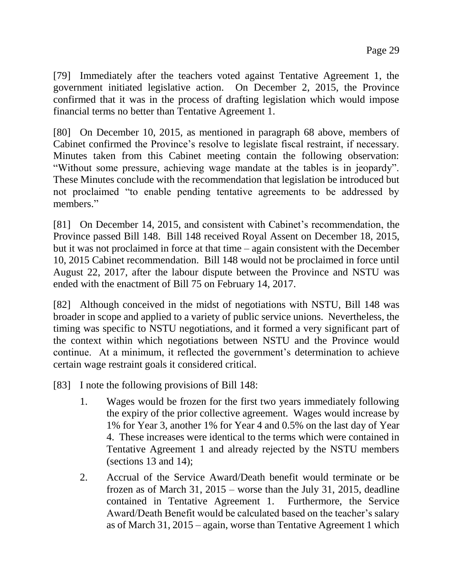[79] Immediately after the teachers voted against Tentative Agreement 1, the government initiated legislative action. On December 2, 2015, the Province confirmed that it was in the process of drafting legislation which would impose financial terms no better than Tentative Agreement 1.

[80] On December 10, 2015, as mentioned in paragraph 68 above, members of Cabinet confirmed the Province's resolve to legislate fiscal restraint, if necessary. Minutes taken from this Cabinet meeting contain the following observation: "Without some pressure, achieving wage mandate at the tables is in jeopardy". These Minutes conclude with the recommendation that legislation be introduced but not proclaimed "to enable pending tentative agreements to be addressed by members."

[81] On December 14, 2015, and consistent with Cabinet's recommendation, the Province passed Bill 148. Bill 148 received Royal Assent on December 18, 2015, but it was not proclaimed in force at that time – again consistent with the December 10, 2015 Cabinet recommendation. Bill 148 would not be proclaimed in force until August 22, 2017, after the labour dispute between the Province and NSTU was ended with the enactment of Bill 75 on February 14, 2017.

[82] Although conceived in the midst of negotiations with NSTU, Bill 148 was broader in scope and applied to a variety of public service unions. Nevertheless, the timing was specific to NSTU negotiations, and it formed a very significant part of the context within which negotiations between NSTU and the Province would continue. At a minimum, it reflected the government's determination to achieve certain wage restraint goals it considered critical.

[83] I note the following provisions of Bill 148:

- 1. Wages would be frozen for the first two years immediately following the expiry of the prior collective agreement. Wages would increase by 1% for Year 3, another 1% for Year 4 and 0.5% on the last day of Year 4. These increases were identical to the terms which were contained in Tentative Agreement 1 and already rejected by the NSTU members (sections 13 and 14);
- 2. Accrual of the Service Award/Death benefit would terminate or be frozen as of March 31, 2015 – worse than the July 31, 2015, deadline contained in Tentative Agreement 1. Furthermore, the Service Award/Death Benefit would be calculated based on the teacher's salary as of March 31, 2015 – again, worse than Tentative Agreement 1 which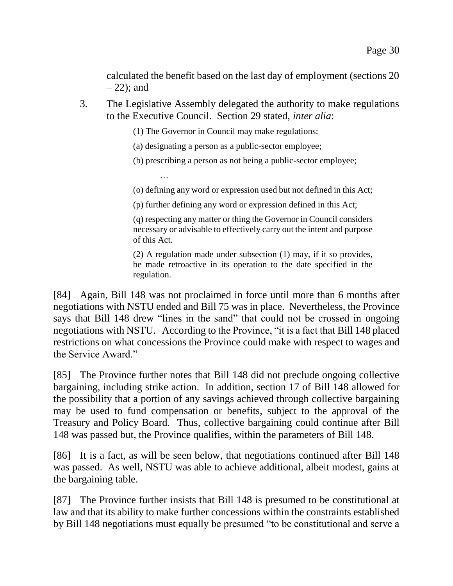calculated the benefit based on the last day of employment (sections 20  $-22$ ); and

3. The Legislative Assembly delegated the authority to make regulations to the Executive Council. Section 29 stated, *inter alia*:

(1) The Governor in Council may make regulations:

(a) designating a person as a public-sector employee;

…

(b) prescribing a person as not being a public-sector employee;

(o) defining any word or expression used but not defined in this Act;

(p) further defining any word or expression defined in this Act;

(q) respecting any matter or thing the Governor in Council considers necessary or advisable to effectively carry out the intent and purpose of this Act.

(2) A regulation made under subsection (1) may, if it so provides, be made retroactive in its operation to the date specified in the regulation.

[84] Again, Bill 148 was not proclaimed in force until more than 6 months after negotiations with NSTU ended and Bill 75 was in place. Nevertheless, the Province says that Bill 148 drew "lines in the sand" that could not be crossed in ongoing negotiations with NSTU. According to the Province, "it is a fact that Bill 148 placed restrictions on what concessions the Province could make with respect to wages and the Service Award."

[85] The Province further notes that Bill 148 did not preclude ongoing collective bargaining, including strike action. In addition, section 17 of Bill 148 allowed for the possibility that a portion of any savings achieved through collective bargaining may be used to fund compensation or benefits, subject to the approval of the Treasury and Policy Board. Thus, collective bargaining could continue after Bill 148 was passed but, the Province qualifies, within the parameters of Bill 148.

[86] It is a fact, as will be seen below, that negotiations continued after Bill 148 was passed. As well, NSTU was able to achieve additional, albeit modest, gains at the bargaining table.

[87] The Province further insists that Bill 148 is presumed to be constitutional at law and that its ability to make further concessions within the constraints established by Bill 148 negotiations must equally be presumed "to be constitutional and serve a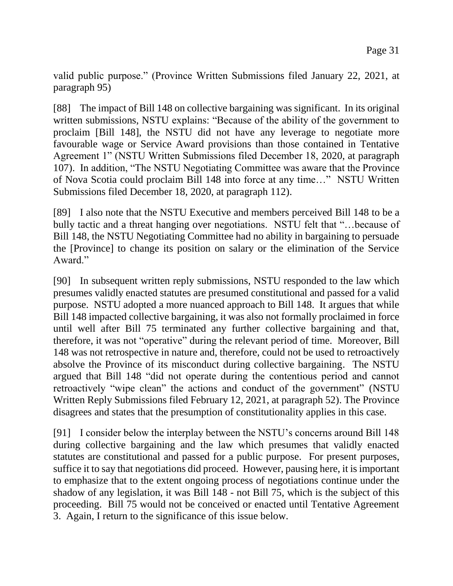valid public purpose." (Province Written Submissions filed January 22, 2021, at paragraph 95)

[88] The impact of Bill 148 on collective bargaining was significant. In its original written submissions, NSTU explains: "Because of the ability of the government to proclaim [Bill 148], the NSTU did not have any leverage to negotiate more favourable wage or Service Award provisions than those contained in Tentative Agreement 1" (NSTU Written Submissions filed December 18, 2020, at paragraph 107). In addition, "The NSTU Negotiating Committee was aware that the Province of Nova Scotia could proclaim Bill 148 into force at any time…" NSTU Written Submissions filed December 18, 2020, at paragraph 112).

[89] I also note that the NSTU Executive and members perceived Bill 148 to be a bully tactic and a threat hanging over negotiations. NSTU felt that "…because of Bill 148, the NSTU Negotiating Committee had no ability in bargaining to persuade the [Province] to change its position on salary or the elimination of the Service Award."

[90] In subsequent written reply submissions, NSTU responded to the law which presumes validly enacted statutes are presumed constitutional and passed for a valid purpose. NSTU adopted a more nuanced approach to Bill 148. It argues that while Bill 148 impacted collective bargaining, it was also not formally proclaimed in force until well after Bill 75 terminated any further collective bargaining and that, therefore, it was not "operative" during the relevant period of time. Moreover, Bill 148 was not retrospective in nature and, therefore, could not be used to retroactively absolve the Province of its misconduct during collective bargaining. The NSTU argued that Bill 148 "did not operate during the contentious period and cannot retroactively "wipe clean" the actions and conduct of the government" (NSTU Written Reply Submissions filed February 12, 2021, at paragraph 52). The Province disagrees and states that the presumption of constitutionality applies in this case.

[91] I consider below the interplay between the NSTU's concerns around Bill 148 during collective bargaining and the law which presumes that validly enacted statutes are constitutional and passed for a public purpose. For present purposes, suffice it to say that negotiations did proceed. However, pausing here, it is important to emphasize that to the extent ongoing process of negotiations continue under the shadow of any legislation, it was Bill 148 - not Bill 75, which is the subject of this proceeding. Bill 75 would not be conceived or enacted until Tentative Agreement 3. Again, I return to the significance of this issue below.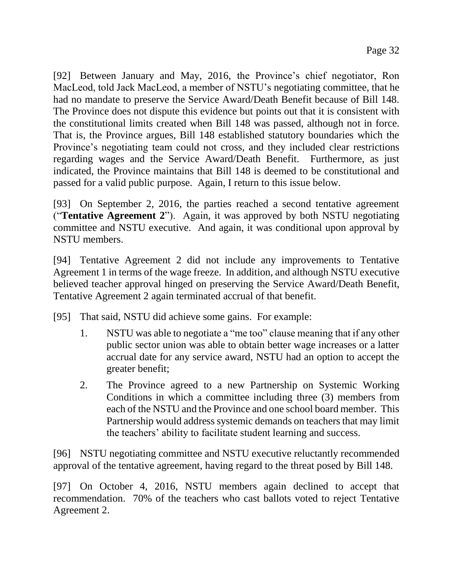[92] Between January and May, 2016, the Province's chief negotiator, Ron MacLeod, told Jack MacLeod, a member of NSTU's negotiating committee, that he had no mandate to preserve the Service Award/Death Benefit because of Bill 148. The Province does not dispute this evidence but points out that it is consistent with the constitutional limits created when Bill 148 was passed, although not in force. That is, the Province argues, Bill 148 established statutory boundaries which the Province's negotiating team could not cross, and they included clear restrictions regarding wages and the Service Award/Death Benefit. Furthermore, as just indicated, the Province maintains that Bill 148 is deemed to be constitutional and passed for a valid public purpose. Again, I return to this issue below.

[93] On September 2, 2016, the parties reached a second tentative agreement ("**Tentative Agreement 2**"). Again, it was approved by both NSTU negotiating committee and NSTU executive. And again, it was conditional upon approval by NSTU members.

[94] Tentative Agreement 2 did not include any improvements to Tentative Agreement 1 in terms of the wage freeze. In addition, and although NSTU executive believed teacher approval hinged on preserving the Service Award/Death Benefit, Tentative Agreement 2 again terminated accrual of that benefit.

[95] That said, NSTU did achieve some gains. For example:

- 1. NSTU was able to negotiate a "me too" clause meaning that if any other public sector union was able to obtain better wage increases or a latter accrual date for any service award, NSTU had an option to accept the greater benefit;
- 2. The Province agreed to a new Partnership on Systemic Working Conditions in which a committee including three (3) members from each of the NSTU and the Province and one school board member. This Partnership would address systemic demands on teachers that may limit the teachers' ability to facilitate student learning and success.

[96] NSTU negotiating committee and NSTU executive reluctantly recommended approval of the tentative agreement, having regard to the threat posed by Bill 148.

[97] On October 4, 2016, NSTU members again declined to accept that recommendation. 70% of the teachers who cast ballots voted to reject Tentative Agreement 2.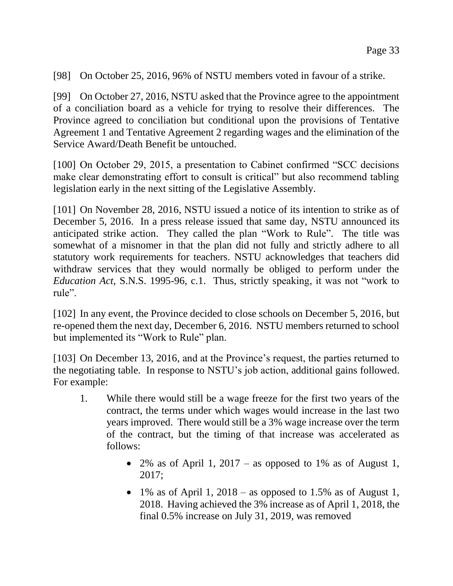[98] On October 25, 2016, 96% of NSTU members voted in favour of a strike.

[99] On October 27, 2016, NSTU asked that the Province agree to the appointment of a conciliation board as a vehicle for trying to resolve their differences. The Province agreed to conciliation but conditional upon the provisions of Tentative Agreement 1 and Tentative Agreement 2 regarding wages and the elimination of the Service Award/Death Benefit be untouched.

[100] On October 29, 2015, a presentation to Cabinet confirmed "SCC decisions" make clear demonstrating effort to consult is critical" but also recommend tabling legislation early in the next sitting of the Legislative Assembly.

[101] On November 28, 2016, NSTU issued a notice of its intention to strike as of December 5, 2016. In a press release issued that same day, NSTU announced its anticipated strike action. They called the plan "Work to Rule". The title was somewhat of a misnomer in that the plan did not fully and strictly adhere to all statutory work requirements for teachers. NSTU acknowledges that teachers did withdraw services that they would normally be obliged to perform under the *Education Act*, S.N.S. 1995-96, c.1. Thus, strictly speaking, it was not "work to rule".

[102] In any event, the Province decided to close schools on December 5, 2016, but re-opened them the next day, December 6, 2016. NSTU members returned to school but implemented its "Work to Rule" plan.

[103] On December 13, 2016, and at the Province's request, the parties returned to the negotiating table. In response to NSTU's job action, additional gains followed. For example:

- 1. While there would still be a wage freeze for the first two years of the contract, the terms under which wages would increase in the last two years improved. There would still be a 3% wage increase over the term of the contract, but the timing of that increase was accelerated as follows:
	- 2% as of April 1, 2017 as opposed to 1% as of August 1, 2017;
	- 1% as of April 1, 2018 as opposed to 1.5% as of August 1, 2018. Having achieved the 3% increase as of April 1, 2018, the final 0.5% increase on July 31, 2019, was removed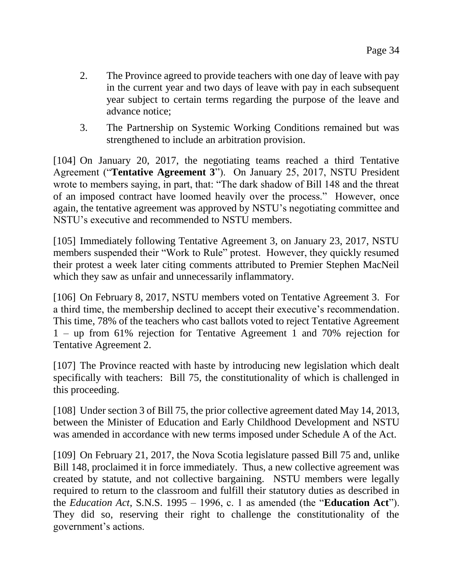- 2. The Province agreed to provide teachers with one day of leave with pay in the current year and two days of leave with pay in each subsequent year subject to certain terms regarding the purpose of the leave and advance notice;
- 3. The Partnership on Systemic Working Conditions remained but was strengthened to include an arbitration provision.

[104] On January 20, 2017, the negotiating teams reached a third Tentative Agreement ("**Tentative Agreement 3**"). On January 25, 2017, NSTU President wrote to members saying, in part, that: "The dark shadow of Bill 148 and the threat of an imposed contract have loomed heavily over the process." However, once again, the tentative agreement was approved by NSTU's negotiating committee and NSTU's executive and recommended to NSTU members.

[105] Immediately following Tentative Agreement 3, on January 23, 2017, NSTU members suspended their "Work to Rule" protest. However, they quickly resumed their protest a week later citing comments attributed to Premier Stephen MacNeil which they saw as unfair and unnecessarily inflammatory.

[106] On February 8, 2017, NSTU members voted on Tentative Agreement 3. For a third time, the membership declined to accept their executive's recommendation. This time, 78% of the teachers who cast ballots voted to reject Tentative Agreement 1 – up from 61% rejection for Tentative Agreement 1 and 70% rejection for Tentative Agreement 2.

[107] The Province reacted with haste by introducing new legislation which dealt specifically with teachers: Bill 75, the constitutionality of which is challenged in this proceeding.

[108] Under section 3 of Bill 75, the prior collective agreement dated May 14, 2013, between the Minister of Education and Early Childhood Development and NSTU was amended in accordance with new terms imposed under Schedule A of the Act.

[109] On February 21, 2017, the Nova Scotia legislature passed Bill 75 and, unlike Bill 148, proclaimed it in force immediately. Thus, a new collective agreement was created by statute, and not collective bargaining. NSTU members were legally required to return to the classroom and fulfill their statutory duties as described in the *Education Act*, S.N.S. 1995 – 1996, c. 1 as amended (the "**Education Act**"). They did so, reserving their right to challenge the constitutionality of the government's actions.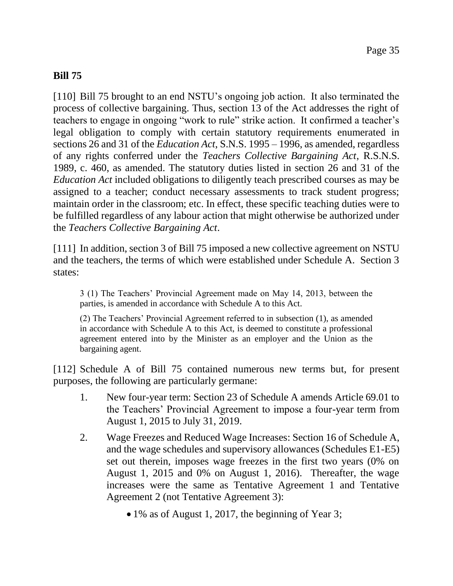### **Bill 75**

[110] Bill 75 brought to an end NSTU's ongoing job action. It also terminated the process of collective bargaining. Thus, section 13 of the Act addresses the right of teachers to engage in ongoing "work to rule" strike action. It confirmed a teacher's legal obligation to comply with certain statutory requirements enumerated in sections 26 and 31 of the *Education Act*, S.N.S. 1995 – 1996, as amended, regardless of any rights conferred under the *Teachers Collective Bargaining Act*, R.S.N.S. 1989, c. 460, as amended. The statutory duties listed in section 26 and 31 of the *Education Act* included obligations to diligently teach prescribed courses as may be assigned to a teacher; conduct necessary assessments to track student progress; maintain order in the classroom; etc. In effect, these specific teaching duties were to be fulfilled regardless of any labour action that might otherwise be authorized under the *Teachers Collective Bargaining Act*.

[111] In addition, section 3 of Bill 75 imposed a new collective agreement on NSTU and the teachers, the terms of which were established under Schedule A. Section 3 states:

3 (1) The Teachers' Provincial Agreement made on May 14, 2013, between the parties, is amended in accordance with Schedule A to this Act.

(2) The Teachers' Provincial Agreement referred to in subsection (1), as amended in accordance with Schedule A to this Act, is deemed to constitute a professional agreement entered into by the Minister as an employer and the Union as the bargaining agent.

[112] Schedule A of Bill 75 contained numerous new terms but, for present purposes, the following are particularly germane:

- 1. New four-year term: Section 23 of Schedule A amends Article 69.01 to the Teachers' Provincial Agreement to impose a four-year term from August 1, 2015 to July 31, 2019.
- 2. Wage Freezes and Reduced Wage Increases: Section 16 of Schedule A, and the wage schedules and supervisory allowances (Schedules E1-E5) set out therein, imposes wage freezes in the first two years (0% on August 1, 2015 and 0% on August 1, 2016). Thereafter, the wage increases were the same as Tentative Agreement 1 and Tentative Agreement 2 (not Tentative Agreement 3):
	- 1% as of August 1, 2017, the beginning of Year 3;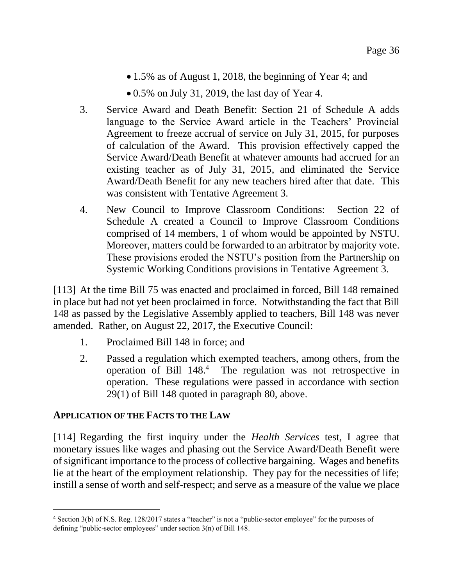- 1.5% as of August 1, 2018, the beginning of Year 4; and
- $\bullet$  0.5% on July 31, 2019, the last day of Year 4.
- 3. Service Award and Death Benefit: Section 21 of Schedule A adds language to the Service Award article in the Teachers' Provincial Agreement to freeze accrual of service on July 31, 2015, for purposes of calculation of the Award. This provision effectively capped the Service Award/Death Benefit at whatever amounts had accrued for an existing teacher as of July 31, 2015, and eliminated the Service Award/Death Benefit for any new teachers hired after that date. This was consistent with Tentative Agreement 3.
- 4. New Council to Improve Classroom Conditions: Section 22 of Schedule A created a Council to Improve Classroom Conditions comprised of 14 members, 1 of whom would be appointed by NSTU. Moreover, matters could be forwarded to an arbitrator by majority vote. These provisions eroded the NSTU's position from the Partnership on Systemic Working Conditions provisions in Tentative Agreement 3.

[113] At the time Bill 75 was enacted and proclaimed in forced, Bill 148 remained in place but had not yet been proclaimed in force. Notwithstanding the fact that Bill 148 as passed by the Legislative Assembly applied to teachers, Bill 148 was never amended. Rather, on August 22, 2017, the Executive Council:

- 1. Proclaimed Bill 148 in force; and
- 2. Passed a regulation which exempted teachers, among others, from the operation of Bill 148. 4 The regulation was not retrospective in operation. These regulations were passed in accordance with section 29(1) of Bill 148 quoted in paragraph 80, above.

#### **APPLICATION OF THE FACTS TO THE LAW**

l

[114] Regarding the first inquiry under the *Health Services* test, I agree that monetary issues like wages and phasing out the Service Award/Death Benefit were of significant importance to the process of collective bargaining. Wages and benefits lie at the heart of the employment relationship. They pay for the necessities of life; instill a sense of worth and self-respect; and serve as a measure of the value we place

<sup>4</sup> Section 3(b) of N.S. Reg. 128/2017 states a "teacher" is not a "public-sector employee" for the purposes of defining "public-sector employees" under section 3(n) of Bill 148.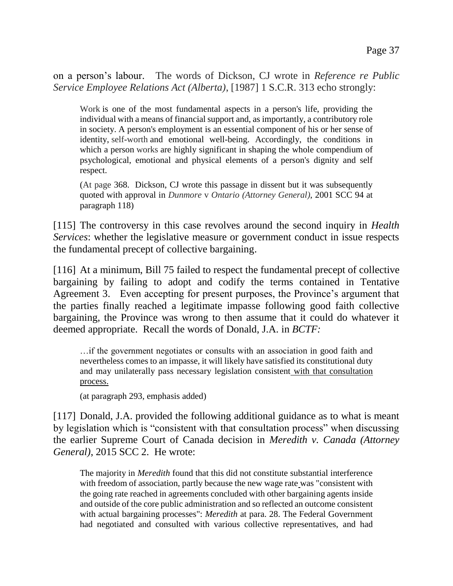on a person's labour. The words of Dickson, CJ wrote in *Reference re Public Service Employee Relations Act (Alberta)*, [1987] 1 S.C.R. 313 echo strongly:

Work is one of the most fundamental aspects in a person's life, providing the individual with a means of financial support and, as importantly, a contributory role in society. A person's employment is an essential component of his or her sense of identity, self-worth and emotional well-being. Accordingly, the conditions in which a person works are highly significant in shaping the whole compendium of psychological, emotional and physical elements of a person's dignity and self respect.

(At page 368. Dickson, CJ wrote this passage in dissent but it was subsequently quoted with approval in *Dunmore* v *Ontario (Attorney General)*, 2001 SCC 94 at paragraph 118)

[115] The controversy in this case revolves around the second inquiry in *Health Services*: whether the legislative measure or government conduct in issue respects the fundamental precept of collective bargaining.

[116] At a minimum, Bill 75 failed to respect the fundamental precept of collective bargaining by failing to adopt and codify the terms contained in Tentative Agreement 3. Even accepting for present purposes, the Province's argument that the parties finally reached a legitimate impasse following good faith collective bargaining, the Province was wrong to then assume that it could do whatever it deemed appropriate. Recall the words of Donald, J.A. in *BCTF:* 

…if the government negotiates or consults with an association in good faith and nevertheless comes to an impasse, it will likely have satisfied its constitutional duty and may unilaterally pass necessary legislation consistent with that consultation process.

(at paragraph 293, emphasis added)

[117] Donald, J.A. provided the following additional guidance as to what is meant by legislation which is "consistent with that consultation process" when discussing the earlier Supreme Court of Canada decision in *Meredith v. Canada (Attorney General)*, 2015 SCC 2. He wrote:

The majority in *Meredith* found that this did not constitute substantial interference with freedom of association, partly because the new wage rate was "consistent with the going rate reached in agreements concluded with other bargaining agents inside and outside of the core public administration and so reflected an outcome consistent with actual bargaining processes": *Meredith* at para. 28. The Federal Government had negotiated and consulted with various collective representatives, and had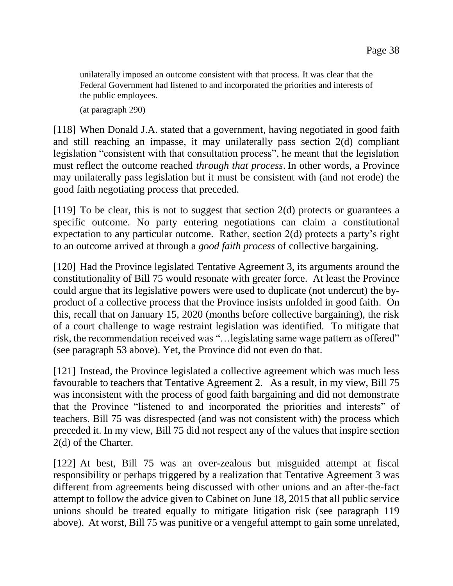unilaterally imposed an outcome consistent with that process. It was clear that the Federal Government had listened to and incorporated the priorities and interests of the public employees.

(at paragraph 290)

[118] When Donald J.A. stated that a government, having negotiated in good faith and still reaching an impasse, it may unilaterally pass section 2(d) compliant legislation "consistent with that consultation process", he meant that the legislation must reflect the outcome reached *through that process*. In other words, a Province may unilaterally pass legislation but it must be consistent with (and not erode) the good faith negotiating process that preceded.

 $[119]$  To be clear, this is not to suggest that section 2(d) protects or guarantees a specific outcome. No party entering negotiations can claim a constitutional expectation to any particular outcome. Rather, section 2(d) protects a party's right to an outcome arrived at through a *good faith process* of collective bargaining.

[120] Had the Province legislated Tentative Agreement 3, its arguments around the constitutionality of Bill 75 would resonate with greater force. At least the Province could argue that its legislative powers were used to duplicate (not undercut) the byproduct of a collective process that the Province insists unfolded in good faith. On this, recall that on January 15, 2020 (months before collective bargaining), the risk of a court challenge to wage restraint legislation was identified. To mitigate that risk, the recommendation received was "…legislating same wage pattern as offered" (see paragraph 53 above). Yet, the Province did not even do that.

[121] Instead, the Province legislated a collective agreement which was much less favourable to teachers that Tentative Agreement 2. As a result, in my view, Bill 75 was inconsistent with the process of good faith bargaining and did not demonstrate that the Province "listened to and incorporated the priorities and interests" of teachers. Bill 75 was disrespected (and was not consistent with) the process which preceded it. In my view, Bill 75 did not respect any of the values that inspire section 2(d) of the Charter.

[122] At best, Bill 75 was an over-zealous but misguided attempt at fiscal responsibility or perhaps triggered by a realization that Tentative Agreement 3 was different from agreements being discussed with other unions and an after-the-fact attempt to follow the advice given to Cabinet on June 18, 2015 that all public service unions should be treated equally to mitigate litigation risk (see paragraph 119 above). At worst, Bill 75 was punitive or a vengeful attempt to gain some unrelated,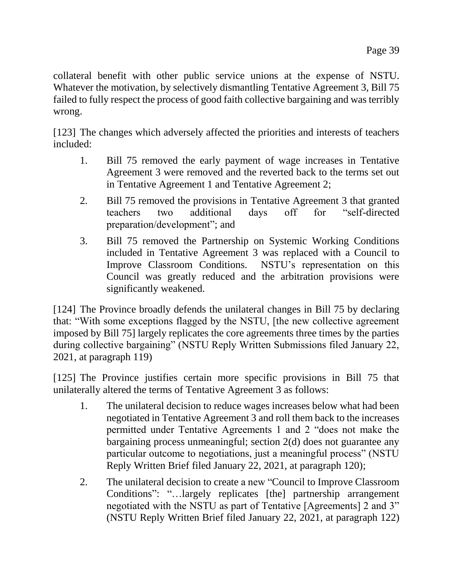collateral benefit with other public service unions at the expense of NSTU. Whatever the motivation, by selectively dismantling Tentative Agreement 3, Bill 75 failed to fully respect the process of good faith collective bargaining and was terribly wrong.

[123] The changes which adversely affected the priorities and interests of teachers included:

- 1. Bill 75 removed the early payment of wage increases in Tentative Agreement 3 were removed and the reverted back to the terms set out in Tentative Agreement 1 and Tentative Agreement 2;
- 2. Bill 75 removed the provisions in Tentative Agreement 3 that granted teachers two additional days off for "self-directed preparation/development"; and
- 3. Bill 75 removed the Partnership on Systemic Working Conditions included in Tentative Agreement 3 was replaced with a Council to Improve Classroom Conditions. NSTU's representation on this Council was greatly reduced and the arbitration provisions were significantly weakened.

[124] The Province broadly defends the unilateral changes in Bill 75 by declaring that: "With some exceptions flagged by the NSTU, [the new collective agreement imposed by Bill 75] largely replicates the core agreements three times by the parties during collective bargaining" (NSTU Reply Written Submissions filed January 22, 2021, at paragraph 119)

[125] The Province justifies certain more specific provisions in Bill 75 that unilaterally altered the terms of Tentative Agreement 3 as follows:

- 1. The unilateral decision to reduce wages increases below what had been negotiated in Tentative Agreement 3 and roll them back to the increases permitted under Tentative Agreements 1 and 2 "does not make the bargaining process unmeaningful; section 2(d) does not guarantee any particular outcome to negotiations, just a meaningful process" (NSTU Reply Written Brief filed January 22, 2021, at paragraph 120);
- 2. The unilateral decision to create a new "Council to Improve Classroom Conditions": "…largely replicates [the] partnership arrangement negotiated with the NSTU as part of Tentative [Agreements] 2 and 3" (NSTU Reply Written Brief filed January 22, 2021, at paragraph 122)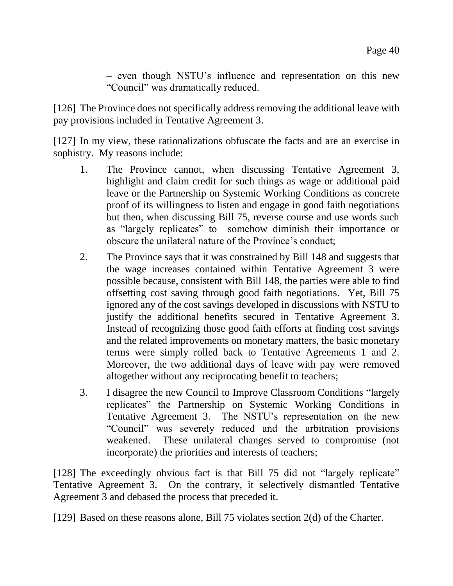– even though NSTU's influence and representation on this new "Council" was dramatically reduced.

[126] The Province does not specifically address removing the additional leave with pay provisions included in Tentative Agreement 3.

[127] In my view, these rationalizations obfuscate the facts and are an exercise in sophistry. My reasons include:

- 1. The Province cannot, when discussing Tentative Agreement 3, highlight and claim credit for such things as wage or additional paid leave or the Partnership on Systemic Working Conditions as concrete proof of its willingness to listen and engage in good faith negotiations but then, when discussing Bill 75, reverse course and use words such as "largely replicates" to somehow diminish their importance or obscure the unilateral nature of the Province's conduct;
- 2. The Province says that it was constrained by Bill 148 and suggests that the wage increases contained within Tentative Agreement 3 were possible because, consistent with Bill 148, the parties were able to find offsetting cost saving through good faith negotiations. Yet, Bill 75 ignored any of the cost savings developed in discussions with NSTU to justify the additional benefits secured in Tentative Agreement 3. Instead of recognizing those good faith efforts at finding cost savings and the related improvements on monetary matters, the basic monetary terms were simply rolled back to Tentative Agreements 1 and 2. Moreover, the two additional days of leave with pay were removed altogether without any reciprocating benefit to teachers;
- 3. I disagree the new Council to Improve Classroom Conditions "largely replicates" the Partnership on Systemic Working Conditions in Tentative Agreement 3. The NSTU's representation on the new "Council" was severely reduced and the arbitration provisions weakened. These unilateral changes served to compromise (not incorporate) the priorities and interests of teachers;

[128] The exceedingly obvious fact is that Bill 75 did not "largely replicate" Tentative Agreement 3. On the contrary, it selectively dismantled Tentative Agreement 3 and debased the process that preceded it.

[129] Based on these reasons alone, Bill 75 violates section 2(d) of the Charter.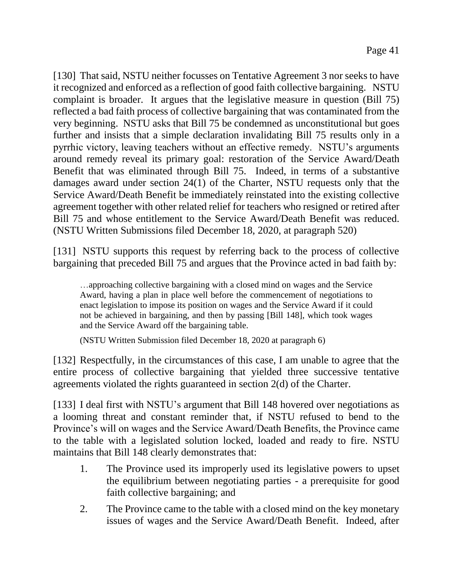[130] That said, NSTU neither focusses on Tentative Agreement 3 nor seeks to have it recognized and enforced as a reflection of good faith collective bargaining. NSTU complaint is broader. It argues that the legislative measure in question (Bill 75) reflected a bad faith process of collective bargaining that was contaminated from the very beginning. NSTU asks that Bill 75 be condemned as unconstitutional but goes further and insists that a simple declaration invalidating Bill 75 results only in a pyrrhic victory, leaving teachers without an effective remedy. NSTU's arguments around remedy reveal its primary goal: restoration of the Service Award/Death Benefit that was eliminated through Bill 75. Indeed, in terms of a substantive damages award under section 24(1) of the Charter, NSTU requests only that the Service Award/Death Benefit be immediately reinstated into the existing collective agreement together with other related relief for teachers who resigned or retired after Bill 75 and whose entitlement to the Service Award/Death Benefit was reduced. (NSTU Written Submissions filed December 18, 2020, at paragraph 520)

[131] NSTU supports this request by referring back to the process of collective bargaining that preceded Bill 75 and argues that the Province acted in bad faith by:

…approaching collective bargaining with a closed mind on wages and the Service Award, having a plan in place well before the commencement of negotiations to enact legislation to impose its position on wages and the Service Award if it could not be achieved in bargaining, and then by passing [Bill 148], which took wages and the Service Award off the bargaining table.

(NSTU Written Submission filed December 18, 2020 at paragraph 6)

[132] Respectfully, in the circumstances of this case, I am unable to agree that the entire process of collective bargaining that yielded three successive tentative agreements violated the rights guaranteed in section 2(d) of the Charter.

[133] I deal first with NSTU's argument that Bill 148 hovered over negotiations as a looming threat and constant reminder that, if NSTU refused to bend to the Province's will on wages and the Service Award/Death Benefits, the Province came to the table with a legislated solution locked, loaded and ready to fire. NSTU maintains that Bill 148 clearly demonstrates that:

- 1. The Province used its improperly used its legislative powers to upset the equilibrium between negotiating parties - a prerequisite for good faith collective bargaining; and
- 2. The Province came to the table with a closed mind on the key monetary issues of wages and the Service Award/Death Benefit. Indeed, after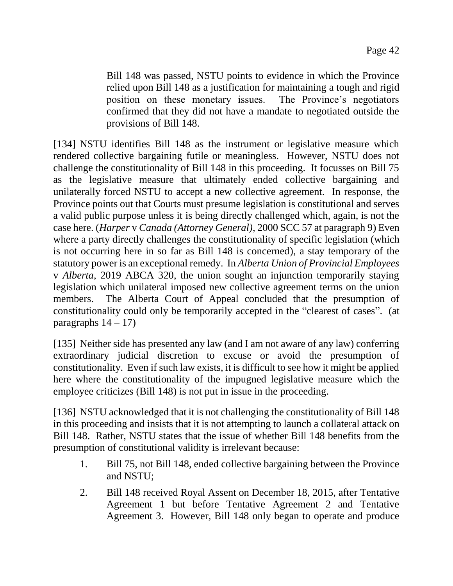Bill 148 was passed, NSTU points to evidence in which the Province relied upon Bill 148 as a justification for maintaining a tough and rigid position on these monetary issues. The Province's negotiators confirmed that they did not have a mandate to negotiated outside the provisions of Bill 148.

[134] NSTU identifies Bill 148 as the instrument or legislative measure which rendered collective bargaining futile or meaningless. However, NSTU does not challenge the constitutionality of Bill 148 in this proceeding. It focusses on Bill 75 as the legislative measure that ultimately ended collective bargaining and unilaterally forced NSTU to accept a new collective agreement. In response, the Province points out that Courts must presume legislation is constitutional and serves a valid public purpose unless it is being directly challenged which, again, is not the case here. (*Harper* v *Canada (Attorney General)*, 2000 SCC 57 at paragraph 9) Even where a party directly challenges the constitutionality of specific legislation (which is not occurring here in so far as Bill 148 is concerned), a stay temporary of the statutory power is an exceptional remedy. In *Alberta Union of Provincial Employees* v *Alberta*, 2019 ABCA 320, the union sought an injunction temporarily staying legislation which unilateral imposed new collective agreement terms on the union members. The Alberta Court of Appeal concluded that the presumption of constitutionality could only be temporarily accepted in the "clearest of cases". (at paragraphs  $14 - 17$ )

[135] Neither side has presented any law (and I am not aware of any law) conferring extraordinary judicial discretion to excuse or avoid the presumption of constitutionality. Even if such law exists, it is difficult to see how it might be applied here where the constitutionality of the impugned legislative measure which the employee criticizes (Bill 148) is not put in issue in the proceeding.

[136] NSTU acknowledged that it is not challenging the constitutionality of Bill 148 in this proceeding and insists that it is not attempting to launch a collateral attack on Bill 148. Rather, NSTU states that the issue of whether Bill 148 benefits from the presumption of constitutional validity is irrelevant because:

- 1. Bill 75, not Bill 148, ended collective bargaining between the Province and NSTU;
- 2. Bill 148 received Royal Assent on December 18, 2015, after Tentative Agreement 1 but before Tentative Agreement 2 and Tentative Agreement 3. However, Bill 148 only began to operate and produce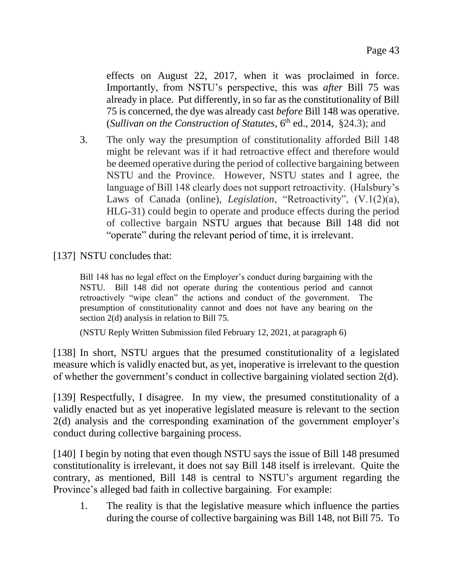effects on August 22, 2017, when it was proclaimed in force. Importantly, from NSTU's perspective, this was *after* Bill 75 was already in place. Put differently, in so far as the constitutionality of Bill 75 is concerned, the dye was already cast *before* Bill 148 was operative. (*Sullivan on the Construction of Statutes*,  $6<sup>th</sup>$  ed., 2014, §24.3); and

3. The only way the presumption of constitutionality afforded Bill 148 might be relevant was if it had retroactive effect and therefore would be deemed operative during the period of collective bargaining between NSTU and the Province. However, NSTU states and I agree, the language of Bill 148 clearly does not support retroactivity. (Halsbury's Laws of Canada (online), *Legislation*, "Retroactivity", (V.1(2)(a), HLG-31) could begin to operate and produce effects during the period of collective bargain NSTU argues that because Bill 148 did not "operate" during the relevant period of time, it is irrelevant.

[137] NSTU concludes that:

Bill 148 has no legal effect on the Employer's conduct during bargaining with the NSTU. Bill 148 did not operate during the contentious period and cannot retroactively "wipe clean" the actions and conduct of the government. The presumption of constitutionality cannot and does not have any bearing on the section 2(d) analysis in relation to Bill 75.

(NSTU Reply Written Submission filed February 12, 2021, at paragraph 6)

[138] In short, NSTU argues that the presumed constitutionality of a legislated measure which is validly enacted but, as yet, inoperative is irrelevant to the question of whether the government's conduct in collective bargaining violated section 2(d).

[139] Respectfully, I disagree. In my view, the presumed constitutionality of a validly enacted but as yet inoperative legislated measure is relevant to the section 2(d) analysis and the corresponding examination of the government employer's conduct during collective bargaining process.

[140] I begin by noting that even though NSTU says the issue of Bill 148 presumed constitutionality is irrelevant, it does not say Bill 148 itself is irrelevant. Quite the contrary, as mentioned, Bill 148 is central to NSTU's argument regarding the Province's alleged bad faith in collective bargaining. For example:

1. The reality is that the legislative measure which influence the parties during the course of collective bargaining was Bill 148, not Bill 75. To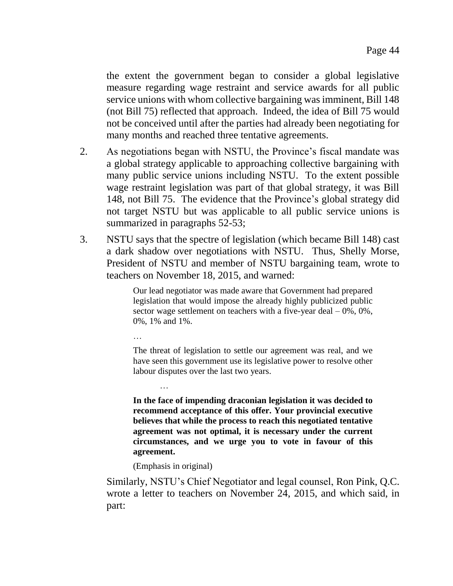the extent the government began to consider a global legislative measure regarding wage restraint and service awards for all public service unions with whom collective bargaining was imminent, Bill 148 (not Bill 75) reflected that approach. Indeed, the idea of Bill 75 would not be conceived until after the parties had already been negotiating for many months and reached three tentative agreements.

- 2. As negotiations began with NSTU, the Province's fiscal mandate was a global strategy applicable to approaching collective bargaining with many public service unions including NSTU. To the extent possible wage restraint legislation was part of that global strategy, it was Bill 148, not Bill 75. The evidence that the Province's global strategy did not target NSTU but was applicable to all public service unions is summarized in paragraphs 52-53;
- 3. NSTU says that the spectre of legislation (which became Bill 148) cast a dark shadow over negotiations with NSTU. Thus, Shelly Morse, President of NSTU and member of NSTU bargaining team, wrote to teachers on November 18, 2015, and warned:

Our lead negotiator was made aware that Government had prepared legislation that would impose the already highly publicized public sector wage settlement on teachers with a five-year deal  $-0\%$ ,  $0\%$ , 0%, 1% and 1%.

The threat of legislation to settle our agreement was real, and we have seen this government use its legislative power to resolve other labour disputes over the last two years.

**In the face of impending draconian legislation it was decided to recommend acceptance of this offer. Your provincial executive believes that while the process to reach this negotiated tentative agreement was not optimal, it is necessary under the current circumstances, and we urge you to vote in favour of this agreement.**

(Emphasis in original)

…

…

Similarly, NSTU's Chief Negotiator and legal counsel, Ron Pink, Q.C. wrote a letter to teachers on November 24, 2015, and which said, in part: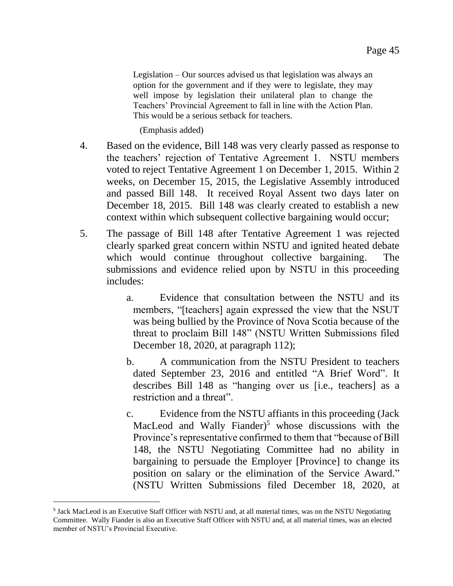Legislation – Our sources advised us that legislation was always an option for the government and if they were to legislate, they may well impose by legislation their unilateral plan to change the Teachers' Provincial Agreement to fall in line with the Action Plan. This would be a serious setback for teachers.

(Emphasis added)

- 4. Based on the evidence, Bill 148 was very clearly passed as response to the teachers' rejection of Tentative Agreement 1. NSTU members voted to reject Tentative Agreement 1 on December 1, 2015. Within 2 weeks, on December 15, 2015, the Legislative Assembly introduced and passed Bill 148. It received Royal Assent two days later on December 18, 2015. Bill 148 was clearly created to establish a new context within which subsequent collective bargaining would occur;
- 5. The passage of Bill 148 after Tentative Agreement 1 was rejected clearly sparked great concern within NSTU and ignited heated debate which would continue throughout collective bargaining. The submissions and evidence relied upon by NSTU in this proceeding includes:
	- a. Evidence that consultation between the NSTU and its members, "[teachers] again expressed the view that the NSUT was being bullied by the Province of Nova Scotia because of the threat to proclaim Bill 148" (NSTU Written Submissions filed December 18, 2020, at paragraph 112);
	- b. A communication from the NSTU President to teachers dated September 23, 2016 and entitled "A Brief Word". It describes Bill 148 as "hanging over us [i.e., teachers] as a restriction and a threat".
	- c. Evidence from the NSTU affiants in this proceeding (Jack MacLeod and Wally Fiander)<sup>5</sup> whose discussions with the Province's representative confirmed to them that "because of Bill 148, the NSTU Negotiating Committee had no ability in bargaining to persuade the Employer [Province] to change its position on salary or the elimination of the Service Award." (NSTU Written Submissions filed December 18, 2020, at

 $\overline{a}$ 

<sup>&</sup>lt;sup>5</sup> Jack MacLeod is an Executive Staff Officer with NSTU and, at all material times, was on the NSTU Negotiating Committee. Wally Fiander is also an Executive Staff Officer with NSTU and, at all material times, was an elected member of NSTU's Provincial Executive.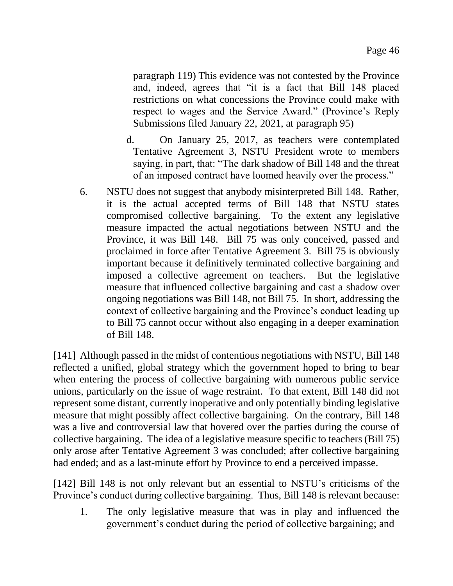paragraph 119) This evidence was not contested by the Province and, indeed, agrees that "it is a fact that Bill 148 placed restrictions on what concessions the Province could make with respect to wages and the Service Award." (Province's Reply Submissions filed January 22, 2021, at paragraph 95)

- d. On January 25, 2017, as teachers were contemplated Tentative Agreement 3, NSTU President wrote to members saying, in part, that: "The dark shadow of Bill 148 and the threat of an imposed contract have loomed heavily over the process."
- 6. NSTU does not suggest that anybody misinterpreted Bill 148. Rather, it is the actual accepted terms of Bill 148 that NSTU states compromised collective bargaining. To the extent any legislative measure impacted the actual negotiations between NSTU and the Province, it was Bill 148. Bill 75 was only conceived, passed and proclaimed in force after Tentative Agreement 3. Bill 75 is obviously important because it definitively terminated collective bargaining and imposed a collective agreement on teachers. But the legislative measure that influenced collective bargaining and cast a shadow over ongoing negotiations was Bill 148, not Bill 75. In short, addressing the context of collective bargaining and the Province's conduct leading up to Bill 75 cannot occur without also engaging in a deeper examination of Bill 148.

[141] Although passed in the midst of contentious negotiations with NSTU, Bill 148 reflected a unified, global strategy which the government hoped to bring to bear when entering the process of collective bargaining with numerous public service unions, particularly on the issue of wage restraint. To that extent, Bill 148 did not represent some distant, currently inoperative and only potentially binding legislative measure that might possibly affect collective bargaining. On the contrary, Bill 148 was a live and controversial law that hovered over the parties during the course of collective bargaining. The idea of a legislative measure specific to teachers (Bill 75) only arose after Tentative Agreement 3 was concluded; after collective bargaining had ended; and as a last-minute effort by Province to end a perceived impasse.

[142] Bill 148 is not only relevant but an essential to NSTU's criticisms of the Province's conduct during collective bargaining. Thus, Bill 148 is relevant because:

1. The only legislative measure that was in play and influenced the government's conduct during the period of collective bargaining; and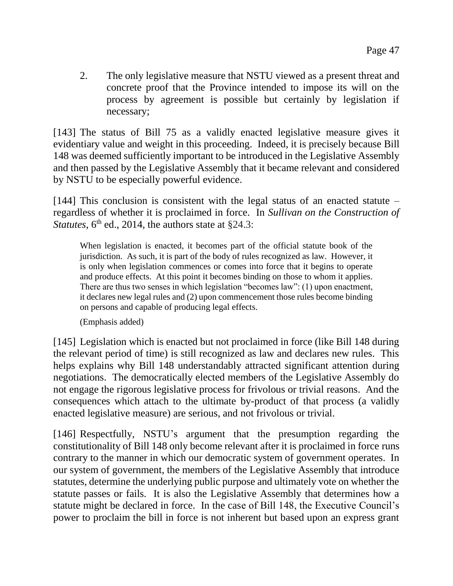2. The only legislative measure that NSTU viewed as a present threat and concrete proof that the Province intended to impose its will on the process by agreement is possible but certainly by legislation if necessary;

[143] The status of Bill 75 as a validly enacted legislative measure gives it evidentiary value and weight in this proceeding. Indeed, it is precisely because Bill 148 was deemed sufficiently important to be introduced in the Legislative Assembly and then passed by the Legislative Assembly that it became relevant and considered by NSTU to be especially powerful evidence.

[144] This conclusion is consistent with the legal status of an enacted statute – regardless of whether it is proclaimed in force. In *Sullivan on the Construction of Statutes*,  $6<sup>th</sup>$  ed., 2014, the authors state at §24.3:

When legislation is enacted, it becomes part of the official statute book of the jurisdiction. As such, it is part of the body of rules recognized as law. However, it is only when legislation commences or comes into force that it begins to operate and produce effects. At this point it becomes binding on those to whom it applies. There are thus two senses in which legislation "becomes law": (1) upon enactment, it declares new legal rules and (2) upon commencement those rules become binding on persons and capable of producing legal effects.

(Emphasis added)

[145] Legislation which is enacted but not proclaimed in force (like Bill 148 during the relevant period of time) is still recognized as law and declares new rules. This helps explains why Bill 148 understandably attracted significant attention during negotiations. The democratically elected members of the Legislative Assembly do not engage the rigorous legislative process for frivolous or trivial reasons. And the consequences which attach to the ultimate by-product of that process (a validly enacted legislative measure) are serious, and not frivolous or trivial.

[146] Respectfully, NSTU's argument that the presumption regarding the constitutionality of Bill 148 only become relevant after it is proclaimed in force runs contrary to the manner in which our democratic system of government operates. In our system of government, the members of the Legislative Assembly that introduce statutes, determine the underlying public purpose and ultimately vote on whether the statute passes or fails. It is also the Legislative Assembly that determines how a statute might be declared in force. In the case of Bill 148, the Executive Council's power to proclaim the bill in force is not inherent but based upon an express grant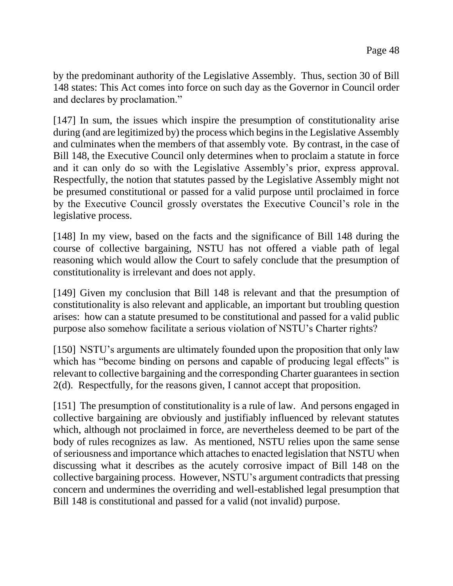by the predominant authority of the Legislative Assembly. Thus, section 30 of Bill 148 states: This Act comes into force on such day as the Governor in Council order and declares by proclamation."

[147] In sum, the issues which inspire the presumption of constitutionality arise during (and are legitimized by) the process which begins in the Legislative Assembly and culminates when the members of that assembly vote. By contrast, in the case of Bill 148, the Executive Council only determines when to proclaim a statute in force and it can only do so with the Legislative Assembly's prior, express approval. Respectfully, the notion that statutes passed by the Legislative Assembly might not be presumed constitutional or passed for a valid purpose until proclaimed in force by the Executive Council grossly overstates the Executive Council's role in the legislative process.

[148] In my view, based on the facts and the significance of Bill 148 during the course of collective bargaining, NSTU has not offered a viable path of legal reasoning which would allow the Court to safely conclude that the presumption of constitutionality is irrelevant and does not apply.

[149] Given my conclusion that Bill 148 is relevant and that the presumption of constitutionality is also relevant and applicable, an important but troubling question arises: how can a statute presumed to be constitutional and passed for a valid public purpose also somehow facilitate a serious violation of NSTU's Charter rights?

[150] NSTU's arguments are ultimately founded upon the proposition that only law which has "become binding on persons and capable of producing legal effects" is relevant to collective bargaining and the corresponding Charter guarantees in section 2(d). Respectfully, for the reasons given, I cannot accept that proposition.

[151] The presumption of constitutionality is a rule of law. And persons engaged in collective bargaining are obviously and justifiably influenced by relevant statutes which, although not proclaimed in force, are nevertheless deemed to be part of the body of rules recognizes as law. As mentioned, NSTU relies upon the same sense of seriousness and importance which attaches to enacted legislation that NSTU when discussing what it describes as the acutely corrosive impact of Bill 148 on the collective bargaining process. However, NSTU's argument contradicts that pressing concern and undermines the overriding and well-established legal presumption that Bill 148 is constitutional and passed for a valid (not invalid) purpose.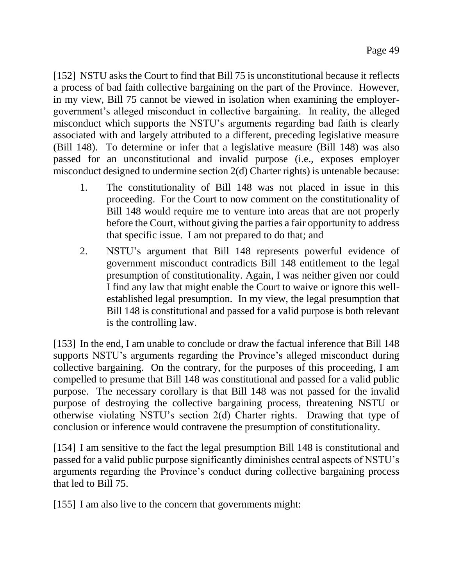[152] NSTU asks the Court to find that Bill 75 is unconstitutional because it reflects a process of bad faith collective bargaining on the part of the Province. However, in my view, Bill 75 cannot be viewed in isolation when examining the employergovernment's alleged misconduct in collective bargaining. In reality, the alleged misconduct which supports the NSTU's arguments regarding bad faith is clearly associated with and largely attributed to a different, preceding legislative measure (Bill 148). To determine or infer that a legislative measure (Bill 148) was also passed for an unconstitutional and invalid purpose (i.e., exposes employer misconduct designed to undermine section 2(d) Charter rights) is untenable because:

- 1. The constitutionality of Bill 148 was not placed in issue in this proceeding. For the Court to now comment on the constitutionality of Bill 148 would require me to venture into areas that are not properly before the Court, without giving the parties a fair opportunity to address that specific issue. I am not prepared to do that; and
- 2. NSTU's argument that Bill 148 represents powerful evidence of government misconduct contradicts Bill 148 entitlement to the legal presumption of constitutionality. Again, I was neither given nor could I find any law that might enable the Court to waive or ignore this wellestablished legal presumption. In my view, the legal presumption that Bill 148 is constitutional and passed for a valid purpose is both relevant is the controlling law.

[153] In the end, I am unable to conclude or draw the factual inference that Bill 148 supports NSTU's arguments regarding the Province's alleged misconduct during collective bargaining. On the contrary, for the purposes of this proceeding, I am compelled to presume that Bill 148 was constitutional and passed for a valid public purpose. The necessary corollary is that Bill 148 was not passed for the invalid purpose of destroying the collective bargaining process, threatening NSTU or otherwise violating NSTU's section 2(d) Charter rights. Drawing that type of conclusion or inference would contravene the presumption of constitutionality.

[154] I am sensitive to the fact the legal presumption Bill 148 is constitutional and passed for a valid public purpose significantly diminishes central aspects of NSTU's arguments regarding the Province's conduct during collective bargaining process that led to Bill 75.

[155] I am also live to the concern that governments might: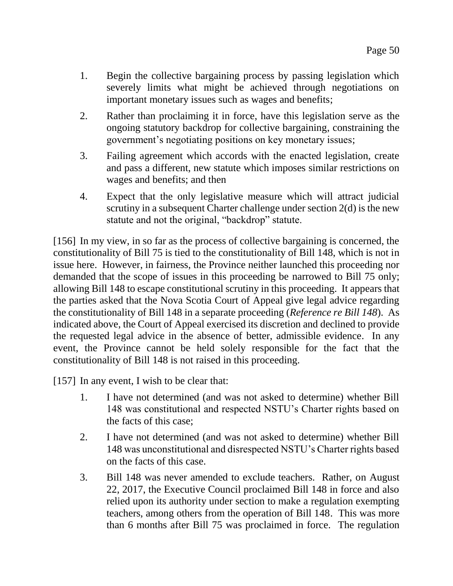- 1. Begin the collective bargaining process by passing legislation which severely limits what might be achieved through negotiations on important monetary issues such as wages and benefits;
- 2. Rather than proclaiming it in force, have this legislation serve as the ongoing statutory backdrop for collective bargaining, constraining the government's negotiating positions on key monetary issues;
- 3. Failing agreement which accords with the enacted legislation, create and pass a different, new statute which imposes similar restrictions on wages and benefits; and then
- 4. Expect that the only legislative measure which will attract judicial scrutiny in a subsequent Charter challenge under section 2(d) is the new statute and not the original, "backdrop" statute.

[156] In my view, in so far as the process of collective bargaining is concerned, the constitutionality of Bill 75 is tied to the constitutionality of Bill 148, which is not in issue here. However, in fairness, the Province neither launched this proceeding nor demanded that the scope of issues in this proceeding be narrowed to Bill 75 only; allowing Bill 148 to escape constitutional scrutiny in this proceeding. It appears that the parties asked that the Nova Scotia Court of Appeal give legal advice regarding the constitutionality of Bill 148 in a separate proceeding (*Reference re Bill 148*). As indicated above, the Court of Appeal exercised its discretion and declined to provide the requested legal advice in the absence of better, admissible evidence. In any event, the Province cannot be held solely responsible for the fact that the constitutionality of Bill 148 is not raised in this proceeding.

[157] In any event, I wish to be clear that:

- 1. I have not determined (and was not asked to determine) whether Bill 148 was constitutional and respected NSTU's Charter rights based on the facts of this case;
- 2. I have not determined (and was not asked to determine) whether Bill 148 was unconstitutional and disrespected NSTU's Charter rights based on the facts of this case.
- 3. Bill 148 was never amended to exclude teachers. Rather, on August 22, 2017, the Executive Council proclaimed Bill 148 in force and also relied upon its authority under section to make a regulation exempting teachers, among others from the operation of Bill 148. This was more than 6 months after Bill 75 was proclaimed in force. The regulation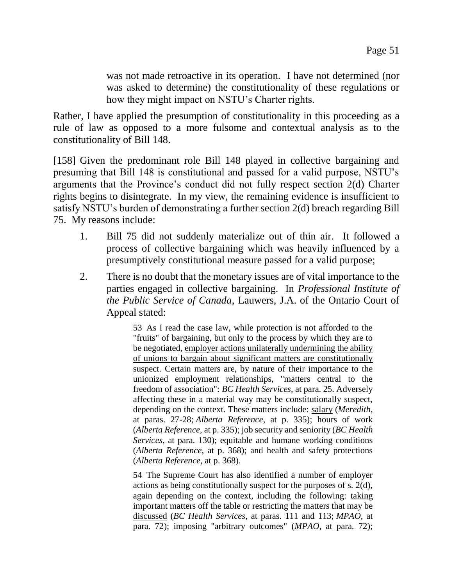was not made retroactive in its operation. I have not determined (nor was asked to determine) the constitutionality of these regulations or how they might impact on NSTU's Charter rights.

Rather, I have applied the presumption of constitutionality in this proceeding as a rule of law as opposed to a more fulsome and contextual analysis as to the constitutionality of Bill 148.

[158] Given the predominant role Bill 148 played in collective bargaining and presuming that Bill 148 is constitutional and passed for a valid purpose, NSTU's arguments that the Province's conduct did not fully respect section 2(d) Charter rights begins to disintegrate. In my view, the remaining evidence is insufficient to satisfy NSTU's burden of demonstrating a further section 2(d) breach regarding Bill 75. My reasons include:

- 1. Bill 75 did not suddenly materialize out of thin air. It followed a process of collective bargaining which was heavily influenced by a presumptively constitutional measure passed for a valid purpose;
- 2. There is no doubt that the monetary issues are of vital importance to the parties engaged in collective bargaining. In *Professional Institute of the Public Service of Canada*, Lauwers, J.A. of the Ontario Court of Appeal stated:

53 As I read the case law, while protection is not afforded to the "fruits" of bargaining, but only to the process by which they are to be negotiated, employer actions unilaterally undermining the ability of unions to bargain about significant matters are constitutionally suspect. Certain matters are, by nature of their importance to the unionized employment relationships, "matters central to the freedom of association": *BC Health Services*, at para. 25. Adversely affecting these in a material way may be constitutionally suspect, depending on the context. These matters include: salary (*Meredith*, at paras. 27-28; *Alberta Reference*, at p. 335); hours of work (*Alberta Reference*, at p. 335); job security and seniority (*BC Health Services*, at para. 130); equitable and humane working conditions (*Alberta Reference*, at p. 368); and health and safety protections (*Alberta Reference*, at p. 368).

54 The Supreme Court has also identified a number of employer actions as being constitutionally suspect for the purposes of s. 2(d), again depending on the context, including the following: taking important matters off the table or restricting the matters that may be discussed (*BC Health Services*, at paras. 111 and 113; *MPAO*, at para. 72); imposing "arbitrary outcomes" (*MPAO*, at para. 72);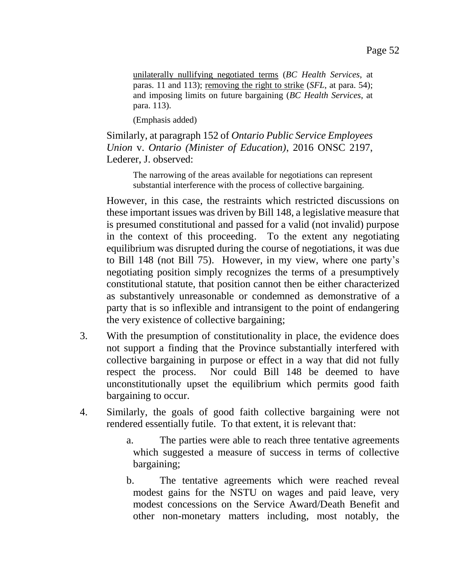unilaterally nullifying negotiated terms (*BC Health Services*, at paras. 11 and 113); removing the right to strike (*SFL*, at para. 54); and imposing limits on future bargaining (*BC Health Services*, at para. 113).

(Emphasis added)

Similarly, at paragraph 152 of *Ontario Public Service Employees Union* v. *Ontario (Minister of Education)*, 2016 ONSC 2197, Lederer, J. observed:

The narrowing of the areas available for negotiations can represent substantial interference with the process of collective bargaining.

However, in this case, the restraints which restricted discussions on these important issues was driven by Bill 148, a legislative measure that is presumed constitutional and passed for a valid (not invalid) purpose in the context of this proceeding. To the extent any negotiating equilibrium was disrupted during the course of negotiations, it was due to Bill 148 (not Bill 75). However, in my view, where one party's negotiating position simply recognizes the terms of a presumptively constitutional statute, that position cannot then be either characterized as substantively unreasonable or condemned as demonstrative of a party that is so inflexible and intransigent to the point of endangering the very existence of collective bargaining;

- 3. With the presumption of constitutionality in place, the evidence does not support a finding that the Province substantially interfered with collective bargaining in purpose or effect in a way that did not fully respect the process. Nor could Bill 148 be deemed to have unconstitutionally upset the equilibrium which permits good faith bargaining to occur.
- 4. Similarly, the goals of good faith collective bargaining were not rendered essentially futile. To that extent, it is relevant that:
	- a. The parties were able to reach three tentative agreements which suggested a measure of success in terms of collective bargaining;
	- b. The tentative agreements which were reached reveal modest gains for the NSTU on wages and paid leave, very modest concessions on the Service Award/Death Benefit and other non-monetary matters including, most notably, the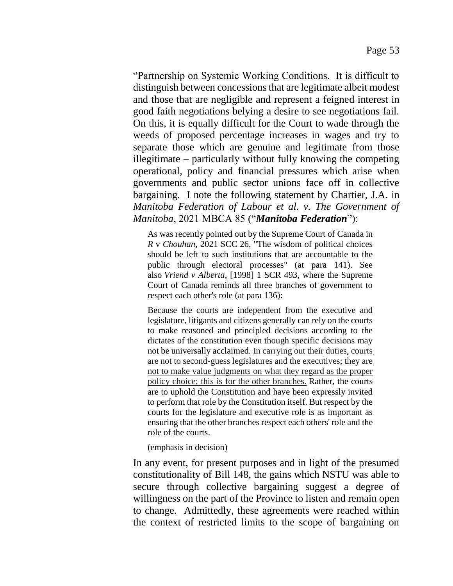"Partnership on Systemic Working Conditions. It is difficult to distinguish between concessions that are legitimate albeit modest and those that are negligible and represent a feigned interest in good faith negotiations belying a desire to see negotiations fail. On this, it is equally difficult for the Court to wade through the weeds of proposed percentage increases in wages and try to separate those which are genuine and legitimate from those illegitimate – particularly without fully knowing the competing operational, policy and financial pressures which arise when governments and public sector unions face off in collective bargaining. I note the following statement by Chartier, J.A. in *Manitoba Federation of Labour et al. v. The Government of Manitoba*, 2021 MBCA 85 ("*Manitoba Federation*"):

As was recently pointed out by the Supreme Court of Canada in *R* v *Chouhan*, 2021 SCC 26, "The wisdom of political choices should be left to such institutions that are accountable to the public through electoral processes" (at para 141). See also *Vriend v Alberta*, [1998] 1 SCR 493, where the Supreme Court of Canada reminds all three branches of government to respect each other's role (at para 136):

Because the courts are independent from the executive and legislature, litigants and citizens generally can rely on the courts to make reasoned and principled decisions according to the dictates of the constitution even though specific decisions may not be universally acclaimed. In carrying out their duties, courts are not to second-guess legislatures and the executives; they are not to make value judgments on what they regard as the proper policy choice; this is for the other branches. Rather, the courts are to uphold the Constitution and have been expressly invited to perform that role by the Constitution itself. But respect by the courts for the legislature and executive role is as important as ensuring that the other branches respect each others' role and the role of the courts.

(emphasis in decision)

In any event, for present purposes and in light of the presumed constitutionality of Bill 148, the gains which NSTU was able to secure through collective bargaining suggest a degree of willingness on the part of the Province to listen and remain open to change. Admittedly, these agreements were reached within the context of restricted limits to the scope of bargaining on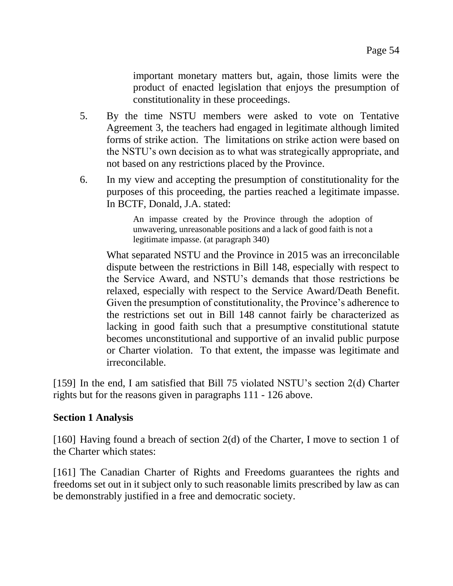important monetary matters but, again, those limits were the product of enacted legislation that enjoys the presumption of constitutionality in these proceedings.

- 5. By the time NSTU members were asked to vote on Tentative Agreement 3, the teachers had engaged in legitimate although limited forms of strike action. The limitations on strike action were based on the NSTU's own decision as to what was strategically appropriate, and not based on any restrictions placed by the Province.
- 6. In my view and accepting the presumption of constitutionality for the purposes of this proceeding, the parties reached a legitimate impasse. In BCTF, Donald, J.A. stated:

An impasse created by the Province through the adoption of unwavering, unreasonable positions and a lack of good faith is not a legitimate impasse. (at paragraph 340)

What separated NSTU and the Province in 2015 was an irreconcilable dispute between the restrictions in Bill 148, especially with respect to the Service Award, and NSTU's demands that those restrictions be relaxed, especially with respect to the Service Award/Death Benefit. Given the presumption of constitutionality, the Province's adherence to the restrictions set out in Bill 148 cannot fairly be characterized as lacking in good faith such that a presumptive constitutional statute becomes unconstitutional and supportive of an invalid public purpose or Charter violation. To that extent, the impasse was legitimate and irreconcilable.

[159] In the end, I am satisfied that Bill 75 violated NSTU's section 2(d) Charter rights but for the reasons given in paragraphs 111 - 126 above.

#### **Section 1 Analysis**

[160] Having found a breach of section 2(d) of the Charter, I move to section 1 of the Charter which states:

[161] The Canadian Charter of Rights and Freedoms guarantees the rights and freedoms set out in it subject only to such reasonable limits prescribed by law as can be demonstrably justified in a free and democratic society.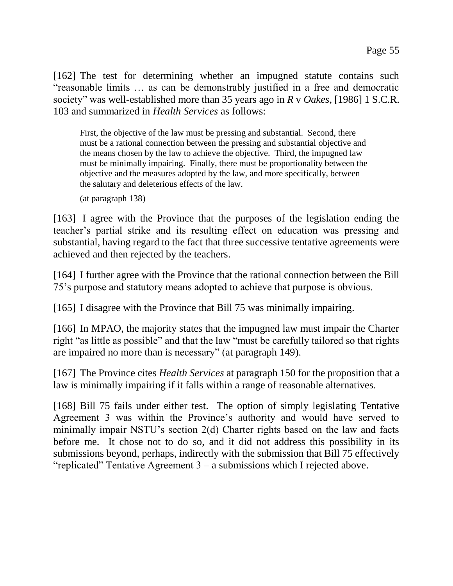[162] The test for determining whether an impugned statute contains such "reasonable limits … as can be demonstrably justified in a free and democratic society" was well-established more than 35 years ago in *R* v *Oakes*, [1986] 1 S.C.R. 103 and summarized in *Health Services* as follows:

First, the objective of the law must be pressing and substantial. Second, there must be a rational connection between the pressing and substantial objective and the means chosen by the law to achieve the objective. Third, the impugned law must be minimally impairing. Finally, there must be proportionality between the objective and the measures adopted by the law, and more specifically, between the salutary and deleterious effects of the law.

(at paragraph 138)

[163] I agree with the Province that the purposes of the legislation ending the teacher's partial strike and its resulting effect on education was pressing and substantial, having regard to the fact that three successive tentative agreements were achieved and then rejected by the teachers.

[164] I further agree with the Province that the rational connection between the Bill 75's purpose and statutory means adopted to achieve that purpose is obvious.

[165] I disagree with the Province that Bill 75 was minimally impairing.

[166] In MPAO, the majority states that the impugned law must impair the Charter right "as little as possible" and that the law "must be carefully tailored so that rights are impaired no more than is necessary" (at paragraph 149).

[167] The Province cites *Health Services* at paragraph 150 for the proposition that a law is minimally impairing if it falls within a range of reasonable alternatives.

[168] Bill 75 fails under either test. The option of simply legislating Tentative Agreement 3 was within the Province's authority and would have served to minimally impair NSTU's section 2(d) Charter rights based on the law and facts before me. It chose not to do so, and it did not address this possibility in its submissions beyond, perhaps, indirectly with the submission that Bill 75 effectively "replicated" Tentative Agreement 3 – a submissions which I rejected above.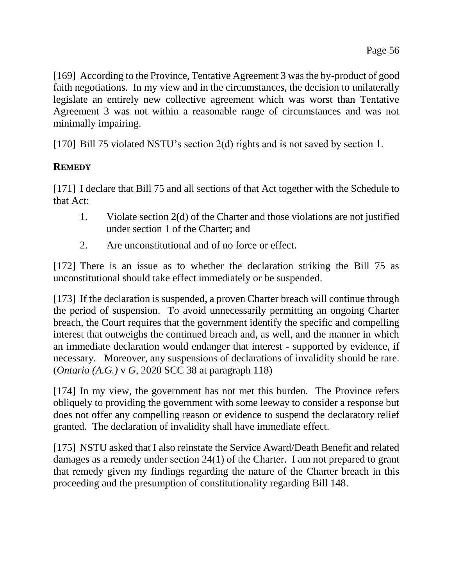[169] According to the Province, Tentative Agreement 3 was the by-product of good faith negotiations. In my view and in the circumstances, the decision to unilaterally legislate an entirely new collective agreement which was worst than Tentative Agreement 3 was not within a reasonable range of circumstances and was not minimally impairing.

[170] Bill 75 violated NSTU's section 2(d) rights and is not saved by section 1.

## **REMEDY**

[171] I declare that Bill 75 and all sections of that Act together with the Schedule to that Act:

- 1. Violate section 2(d) of the Charter and those violations are not justified under section 1 of the Charter; and
- 2. Are unconstitutional and of no force or effect.

[172] There is an issue as to whether the declaration striking the Bill 75 as unconstitutional should take effect immediately or be suspended.

[173] If the declaration is suspended, a proven Charter breach will continue through the period of suspension. To avoid unnecessarily permitting an ongoing Charter breach, the Court requires that the government identify the specific and compelling interest that outweighs the continued breach and, as well, and the manner in which an immediate declaration would endanger that interest - supported by evidence, if necessary. Moreover, any suspensions of declarations of invalidity should be rare. (*Ontario (A.G.)* v *G*, 2020 SCC 38 at paragraph 118)

[174] In my view, the government has not met this burden. The Province refers obliquely to providing the government with some leeway to consider a response but does not offer any compelling reason or evidence to suspend the declaratory relief granted. The declaration of invalidity shall have immediate effect.

[175] NSTU asked that I also reinstate the Service Award/Death Benefit and related damages as a remedy under section 24(1) of the Charter. I am not prepared to grant that remedy given my findings regarding the nature of the Charter breach in this proceeding and the presumption of constitutionality regarding Bill 148.